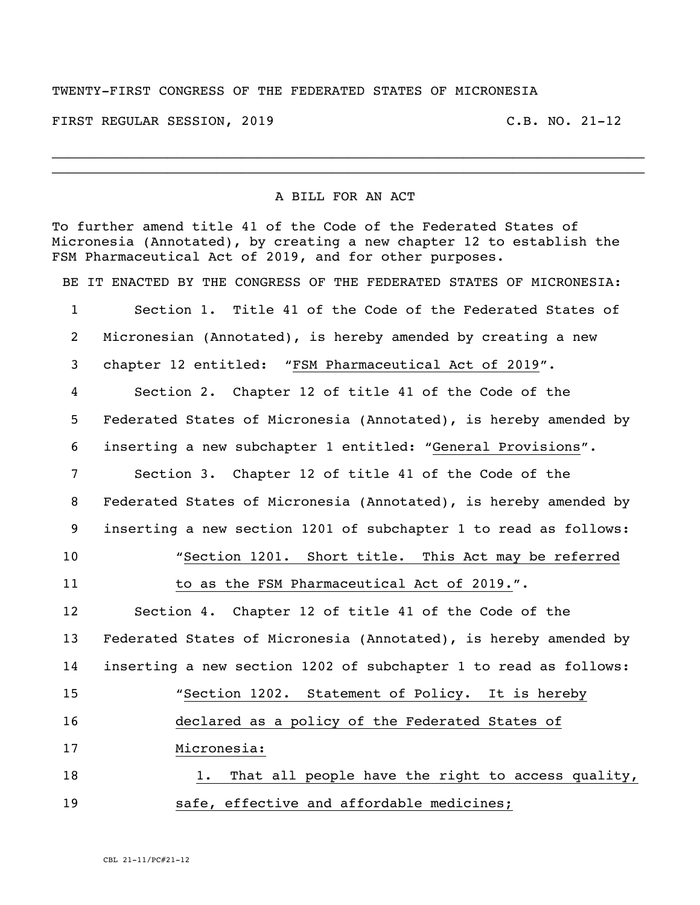## TWENTY-FIRST CONGRESS OF THE FEDERATED STATES OF MICRONESIA

FIRST REGULAR SESSION, 2019 C.B. NO. 21-12

## A BILL FOR AN ACT

 $\_$  $\_$ 

To further amend title 41 of the Code of the Federated States of Micronesia (Annotated), by creating a new chapter 12 to establish the FSM Pharmaceutical Act of 2019, and for other purposes. BE IT ENACTED BY THE CONGRESS OF THE FEDERATED STATES OF MICRONESIA: Section 1. Title 41 of the Code of the Federated States of Micronesian (Annotated), is hereby amended by creating a new chapter 12 entitled: "FSM Pharmaceutical Act of 2019". Section 2. Chapter 12 of title 41 of the Code of the Federated States of Micronesia (Annotated), is hereby amended by inserting a new subchapter 1 entitled: "General Provisions". Section 3. Chapter 12 of title 41 of the Code of the Federated States of Micronesia (Annotated), is hereby amended by inserting a new section 1201 of subchapter 1 to read as follows: "Section 1201. Short title. This Act may be referred 11 to as the FSM Pharmaceutical Act of 2019.". Section 4. Chapter 12 of title 41 of the Code of the Federated States of Micronesia (Annotated), is hereby amended by inserting a new section 1202 of subchapter 1 to read as follows: "Section 1202. Statement of Policy. It is hereby declared as a policy of the Federated States of Micronesia: 18 18 1. That all people have the right to access quality, safe, effective and affordable medicines;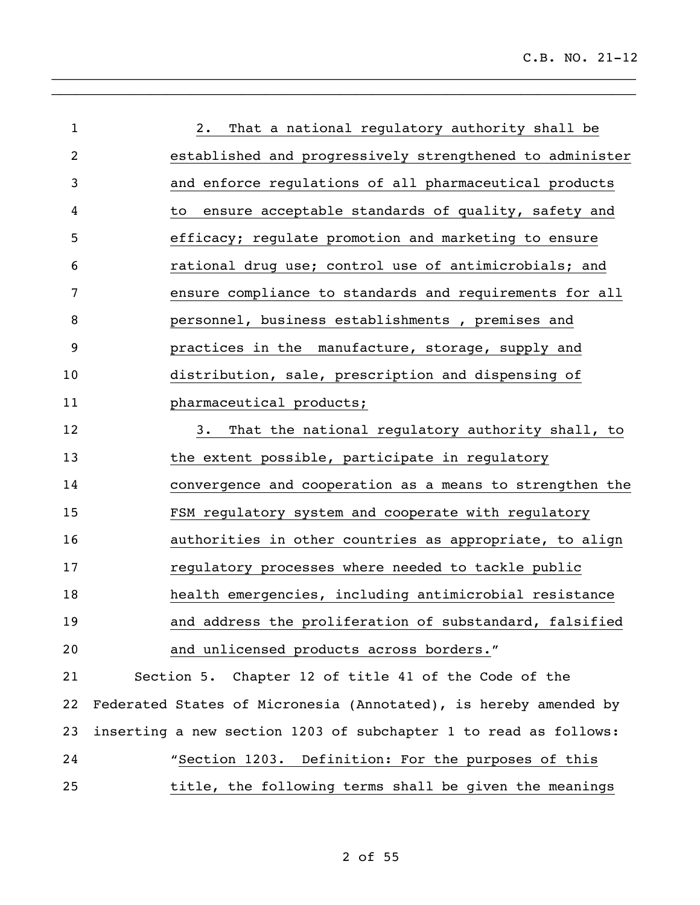| $\mathbf{1}$   | That a national regulatory authority shall be<br>2.              |
|----------------|------------------------------------------------------------------|
| $\overline{2}$ | established and progressively strengthened to administer         |
| 3              | and enforce regulations of all pharmaceutical products           |
| 4              | ensure acceptable standards of quality, safety and<br>to         |
| 5              | efficacy; regulate promotion and marketing to ensure             |
| 6              | rational drug use; control use of antimicrobials; and            |
| 7              | ensure compliance to standards and requirements for all          |
| 8              | personnel, business establishments, premises and                 |
| 9              | practices in the manufacture, storage, supply and                |
| 10             | distribution, sale, prescription and dispensing of               |
| 11             | pharmaceutical products;                                         |
| 12             | That the national regulatory authority shall, to<br>3.           |
| 13             | the extent possible, participate in regulatory                   |
| 14             | convergence and cooperation as a means to strengthen the         |
| 15             | FSM regulatory system and cooperate with regulatory              |
| 16             | authorities in other countries as appropriate, to align          |
| 17             | regulatory processes where needed to tackle public               |
| 18             | health emergencies, including antimicrobial resistance           |
| 19             | and address the proliferation of substandard, falsified          |
| 20             | and unlicensed products across borders."                         |
| 21             | Section 5. Chapter 12 of title 41 of the Code of the             |
| 22             | Federated States of Micronesia (Annotated), is hereby amended by |
| 23             | inserting a new section 1203 of subchapter 1 to read as follows: |
| 24             | "Section 1203. Definition: For the purposes of this              |
| 25             | title, the following terms shall be given the meanings           |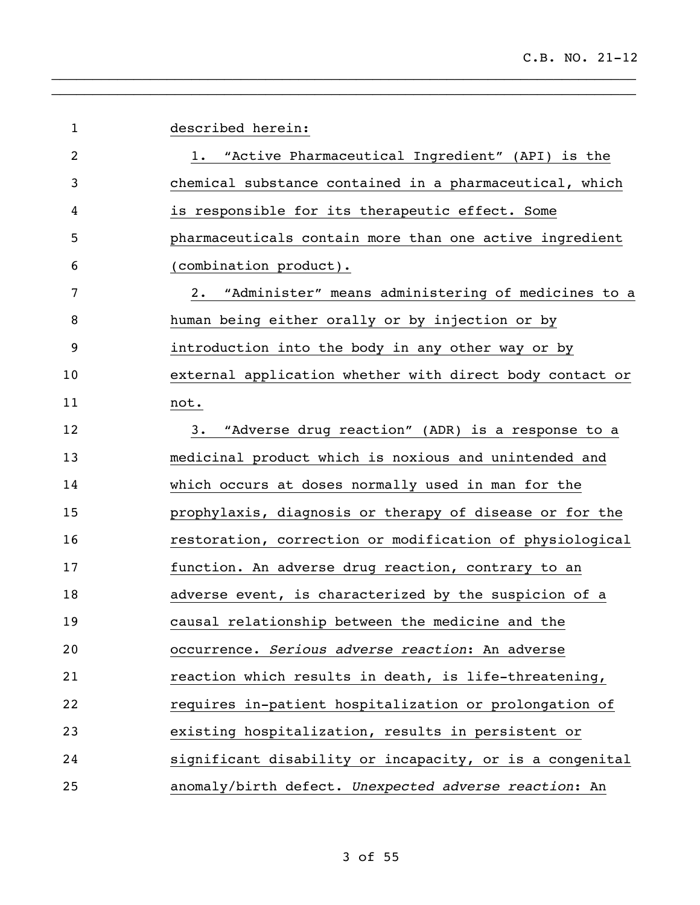| $\mathbf 1$    | described herein:                                           |
|----------------|-------------------------------------------------------------|
| $\overline{2}$ | "Active Pharmaceutical Ingredient" (API) is the<br>1.       |
| 3              | chemical substance contained in a pharmaceutical, which     |
| 4              | is responsible for its therapeutic effect. Some             |
| 5              | pharmaceuticals contain more than one active ingredient     |
| 6              | (combination product).                                      |
| 7              | "Administer" means administering of medicines to a<br>$2$ . |
| 8              | human being either orally or by injection or by             |
| 9              | introduction into the body in any other way or by           |
| 10             | external application whether with direct body contact or    |
| 11             | not.                                                        |
| 12             | "Adverse drug reaction" (ADR) is a response to a<br>3.      |
| 13             | medicinal product which is noxious and unintended and       |
| 14             | which occurs at doses normally used in man for the          |
| 15             | prophylaxis, diagnosis or therapy of disease or for the     |
| 16             | restoration, correction or modification of physiological    |
| 17             | function. An adverse drug reaction, contrary to an          |
| 18             | adverse event, is characterized by the suspicion of a       |
| 19             | causal relationship between the medicine and the            |
| 20             | occurrence. Serious adverse reaction: An adverse            |
| 21             | reaction which results in death, is life-threatening,       |
| 22             | requires in-patient hospitalization or prolongation of      |
| 23             | existing hospitalization, results in persistent or          |
| 24             | significant disability or incapacity, or is a congenital    |
| 25             | anomaly/birth defect. Unexpected adverse reaction: An       |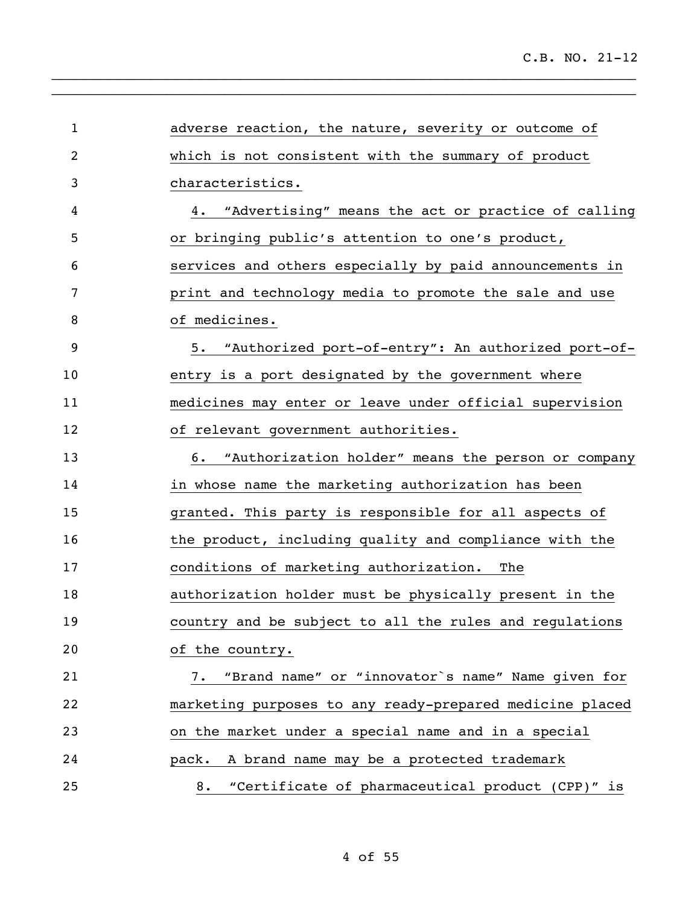| $\mathbf{1}$ | adverse reaction, the nature, severity or outcome of     |
|--------------|----------------------------------------------------------|
| 2            | which is not consistent with the summary of product      |
| 3            | characteristics.                                         |
| 4            | "Advertising" means the act or practice of calling<br>4. |
| 5            | or bringing public's attention to one's product,         |
| 6            | services and others especially by paid announcements in  |
| 7            | print and technology media to promote the sale and use   |
| 8            | of medicines.                                            |
| 9            | 5. "Authorized port-of-entry": An authorized port-of-    |
| 10           | entry is a port designated by the government where       |
| 11           | medicines may enter or leave under official supervision  |
| 12           | of relevant government authorities.                      |
| 13           | "Authorization holder" means the person or company<br>6. |
| 14           | in whose name the marketing authorization has been       |
| 15           | granted. This party is responsible for all aspects of    |
| 16           | the product, including quality and compliance with the   |
| 17           | conditions of marketing authorization.<br>The            |
| 18           | authorization holder must be physically present in the   |
| 19           | country and be subject to all the rules and regulations  |
| 20           | of the country.                                          |
| 21           | 7. "Brand name" or "innovator's name" Name given for     |
| 22           | marketing purposes to any ready-prepared medicine placed |
| 23           | on the market under a special name and in a special      |
| 24           | pack. A brand name may be a protected trademark          |
| 25           | 8. "Certificate of pharmaceutical product (CPP)" is      |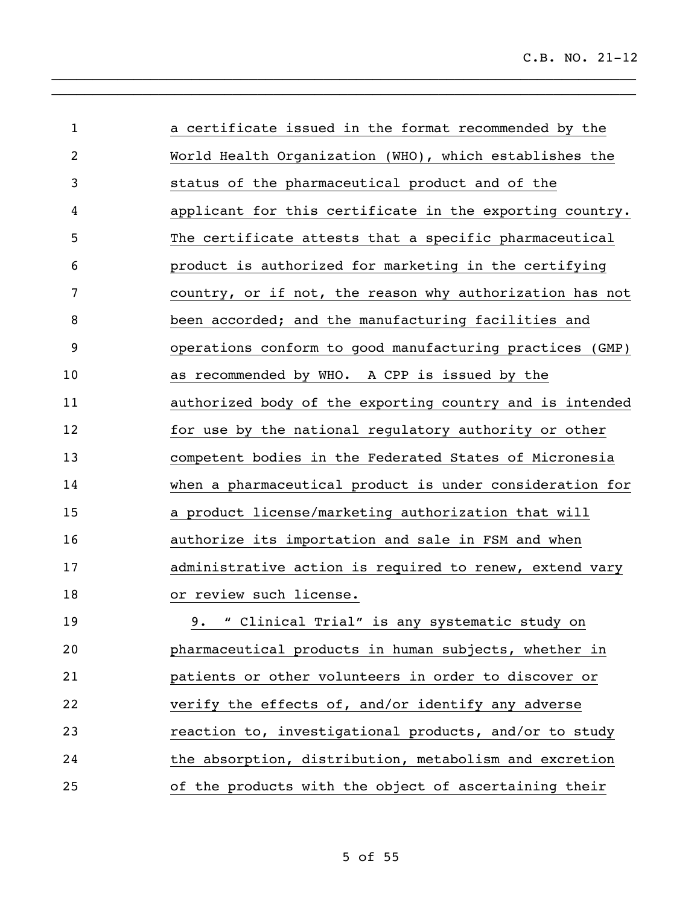| $\mathbf{1}$ | a certificate issued in the format recommended by the    |
|--------------|----------------------------------------------------------|
| 2            | World Health Organization (WHO), which establishes the   |
| 3            | status of the pharmaceutical product and of the          |
| 4            | applicant for this certificate in the exporting country. |
| 5            | The certificate attests that a specific pharmaceutical   |
| 6            | product is authorized for marketing in the certifying    |
| 7            | country, or if not, the reason why authorization has not |
| 8            | been accorded; and the manufacturing facilities and      |
| 9            | operations conform to good manufacturing practices (GMP) |
| 10           | as recommended by WHO. A CPP is issued by the            |
| 11           | authorized body of the exporting country and is intended |
| 12           | for use by the national regulatory authority or other    |
| 13           | competent bodies in the Federated States of Micronesia   |
| 14           | when a pharmaceutical product is under consideration for |
| 15           | a product license/marketing authorization that will      |
| 16           | authorize its importation and sale in FSM and when       |
| 17           | administrative action is required to renew, extend vary  |
| 18           | or review such license.                                  |
| 19           | 9. " Clinical Trial" is any systematic study on          |
| 20           | pharmaceutical products in human subjects, whether in    |
| 21           | patients or other volunteers in order to discover or     |
| 22           | verify the effects of, and/or identify any adverse       |
| 23           | reaction to, investigational products, and/or to study   |
| 24           | the absorption, distribution, metabolism and excretion   |
| 25           | of the products with the object of ascertaining their    |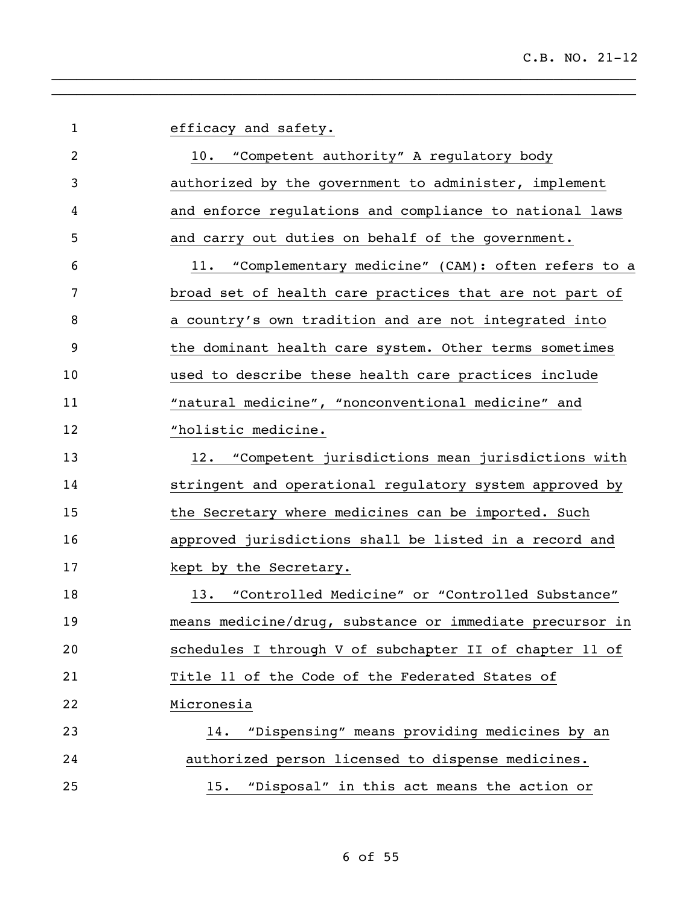| $\mathbf 1$ | efficacy and safety.                                     |
|-------------|----------------------------------------------------------|
| 2           | 10.<br>"Competent authority" A regulatory body           |
| 3           | authorized by the government to administer, implement    |
| 4           | and enforce regulations and compliance to national laws  |
| 5           | and carry out duties on behalf of the government.        |
| 6           | "Complementary medicine" (CAM): often refers to a<br>11. |
| 7           | broad set of health care practices that are not part of  |
| 8           | a country's own tradition and are not integrated into    |
| 9           | the dominant health care system. Other terms sometimes   |
| 10          | used to describe these health care practices include     |
| 11          | "natural medicine", "nonconventional medicine" and       |
| 12          | "holistic medicine.                                      |
| 13          | "Competent jurisdictions mean jurisdictions with<br>12.  |
| 14          | stringent and operational regulatory system approved by  |
| 15          | the Secretary where medicines can be imported. Such      |
| 16          | approved jurisdictions shall be listed in a record and   |
| 17          | kept by the Secretary.                                   |
| 18          | "Controlled Medicine" or "Controlled Substance"<br>13.   |
| 19          | means medicine/drug, substance or immediate precursor in |
| 20          | schedules I through V of subchapter II of chapter 11 of  |
| 21          | Title 11 of the Code of the Federated States of          |
| 22          | Micronesia                                               |
| 23          | "Dispensing" means providing medicines by an<br>14.      |
| 24          | authorized person licensed to dispense medicines.        |
| 25          | "Disposal" in this act means the action or<br>15.        |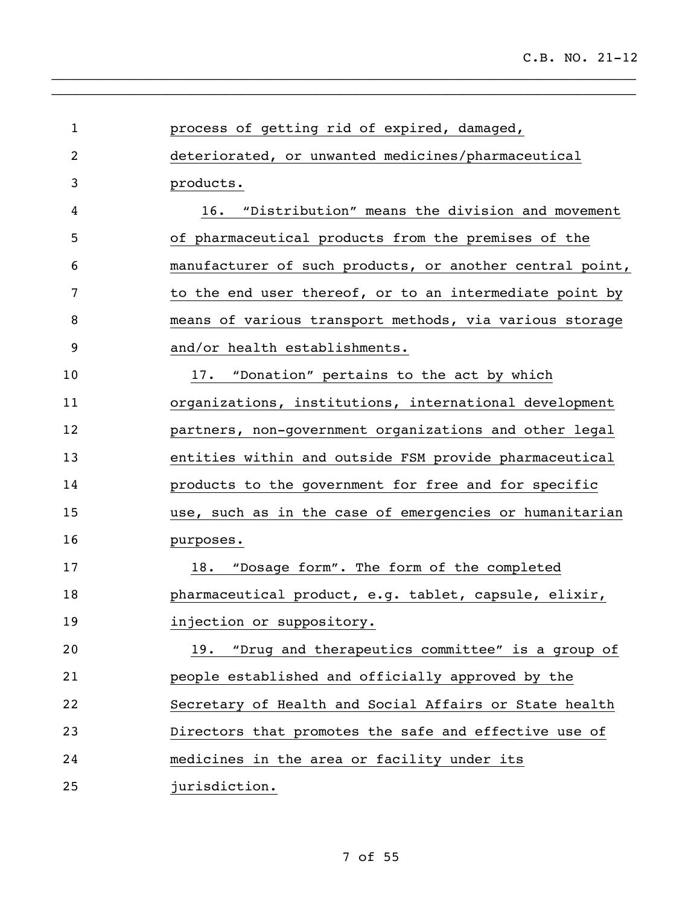| $\mathbf{1}$   | process of getting rid of expired, damaged,              |
|----------------|----------------------------------------------------------|
| $\overline{2}$ | deteriorated, or unwanted medicines/pharmaceutical       |
| 3              | products.                                                |
| 4              | "Distribution" means the division and movement<br>16.    |
| 5              | of pharmaceutical products from the premises of the      |
| 6              | manufacturer of such products, or another central point, |
| 7              | to the end user thereof, or to an intermediate point by  |
| 8              | means of various transport methods, via various storage  |
| 9              | and/or health establishments.                            |
| 10             | "Donation" pertains to the act by which<br>17.           |
| 11             | organizations, institutions, international development   |
| 12             | partners, non-government organizations and other legal   |
| 13             | entities within and outside FSM provide pharmaceutical   |
| 14             | products to the government for free and for specific     |
| 15             | use, such as in the case of emergencies or humanitarian  |
| 16             | purposes.                                                |
| 17             | "Dosage form". The form of the completed<br>18.          |
| 18             | pharmaceutical product, e.g. tablet, capsule, elixir,    |
| 19             | injection or suppository.                                |
| 20             | "Drug and therapeutics committee" is a group of<br>19.   |
| 21             | people established and officially approved by the        |
| 22             | Secretary of Health and Social Affairs or State health   |
| 23             | Directors that promotes the safe and effective use of    |
| 24             | medicines in the area or facility under its              |
| 25             | jurisdiction.                                            |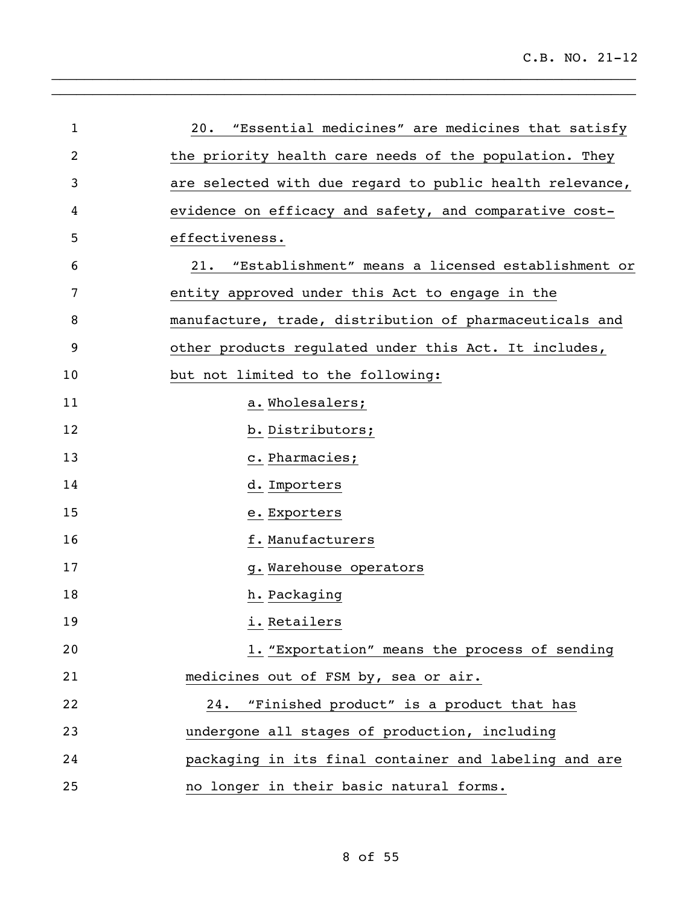| $\mathbf{1}$ | 20. "Essential medicines" are medicines that satisfy     |
|--------------|----------------------------------------------------------|
| 2            | the priority health care needs of the population. They   |
| 3            | are selected with due regard to public health relevance, |
| 4            | evidence on efficacy and safety, and comparative cost-   |
| 5            | effectiveness.                                           |
| 6            | 21. "Establishment" means a licensed establishment or    |
| 7            | entity approved under this Act to engage in the          |
| 8            | manufacture, trade, distribution of pharmaceuticals and  |
| 9            | other products regulated under this Act. It includes,    |
| 10           | but not limited to the following:                        |
| 11           | a. Wholesalers;                                          |
| 12           | b. Distributors;                                         |
| 13           | c. Pharmacies;                                           |
| 14           | d. Importers                                             |
| 15           | e. Exporters                                             |
| 16           | f. Manufacturers                                         |
| 17           | g. Warehouse operators                                   |
| 18           | h. Packaging                                             |
| 19           | i. Retailers                                             |
| 20           | 1. "Exportation" means the process of sending            |
| 21           | medicines out of FSM by, sea or air.                     |
| 22           | 24. "Finished product" is a product that has             |
| 23           | undergone all stages of production, including            |
| 24           | packaging in its final container and labeling and are    |
| 25           | no longer in their basic natural forms.                  |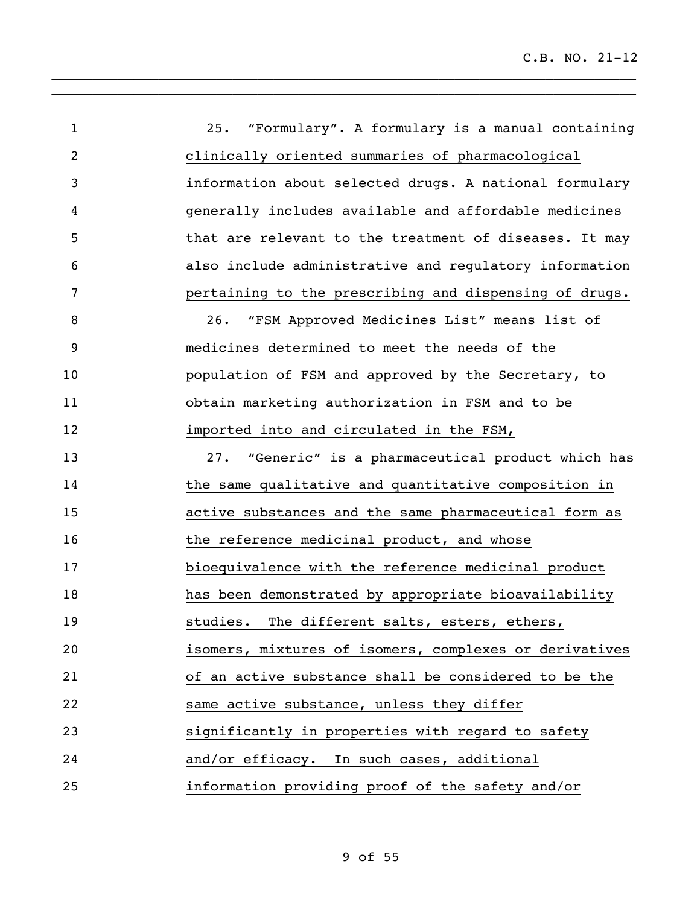| $\mathbf{1}$   | 25. "Formulary". A formulary is a manual containing    |
|----------------|--------------------------------------------------------|
| $\overline{2}$ | clinically oriented summaries of pharmacological       |
| 3              | information about selected drugs. A national formulary |
| 4              | generally includes available and affordable medicines  |
| 5              | that are relevant to the treatment of diseases. It may |
| 6              | also include administrative and regulatory information |
| 7              | pertaining to the prescribing and dispensing of drugs. |
| 8              | 26. "FSM Approved Medicines List" means list of        |
| 9              | medicines determined to meet the needs of the          |
| 10             | population of FSM and approved by the Secretary, to    |
| 11             | obtain marketing authorization in FSM and to be        |
| 12             | imported into and circulated in the FSM,               |
| 13             | 27. "Generic" is a pharmaceutical product which has    |
| 14             | the same qualitative and quantitative composition in   |
| 15             | active substances and the same pharmaceutical form as  |
| 16             | the reference medicinal product, and whose             |
| 17             | bioequivalence with the reference medicinal product    |
| 18             | has been demonstrated by appropriate bioavailability   |
| 19             | studies. The different salts, esters, ethers,          |
| 20             | isomers, mixtures of isomers, complexes or derivatives |
| 21             | of an active substance shall be considered to be the   |
| 22             | same active substance, unless they differ              |
| 23             | significantly in properties with regard to safety      |
| 24             | and/or efficacy. In such cases, additional             |
| 25             | information providing proof of the safety and/or       |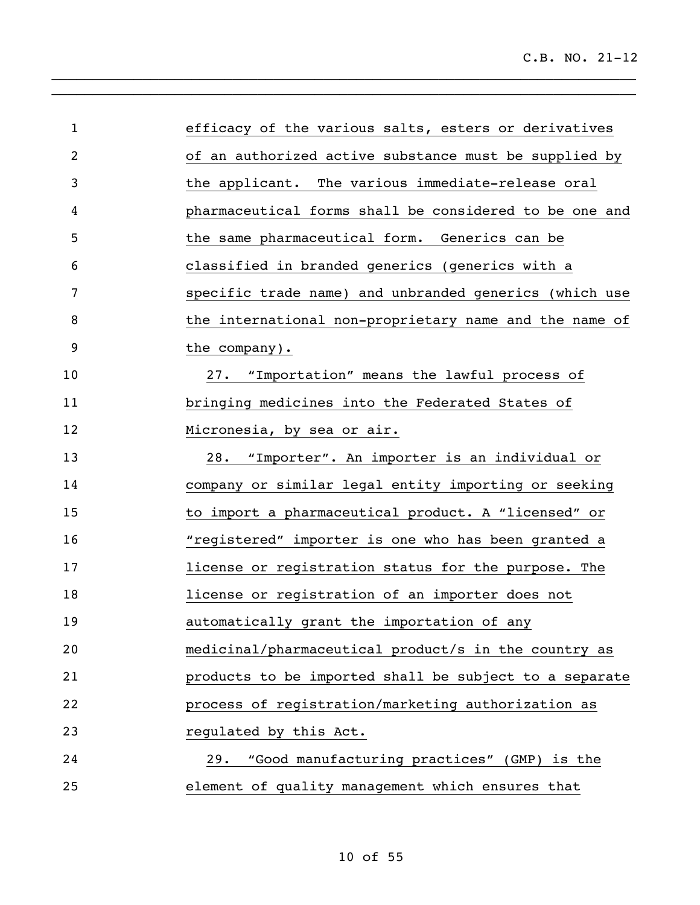| $\mathbf{1}$ | efficacy of the various salts, esters or derivatives   |
|--------------|--------------------------------------------------------|
| 2            | of an authorized active substance must be supplied by  |
| 3            | the applicant. The various immediate-release oral      |
| 4            | pharmaceutical forms shall be considered to be one and |
| 5            | the same pharmaceutical form. Generics can be          |
| 6            | classified in branded generics (generics with a        |
| 7            | specific trade name) and unbranded generics (which use |
| 8            | the international non-proprietary name and the name of |
| 9            | the company).                                          |
| 10           | 27. "Importation" means the lawful process of          |
| 11           | bringing medicines into the Federated States of        |
| 12           | Micronesia, by sea or air.                             |
| 13           | 28. "Importer". An importer is an individual or        |
| 14           | company or similar legal entity importing or seeking   |
| 15           | to import a pharmaceutical product. A "licensed" or    |
| 16           | "registered" importer is one who has been granted a    |
| 17           | license or registration status for the purpose. The    |
| 18           | license or registration of an importer does not        |
| 19           | automatically grant the importation of any             |
| 20           | medicinal/pharmaceutical product/s in the country as   |
| 21           | products to be imported shall be subject to a separate |
| 22           | process of registration/marketing authorization as     |
| 23           | regulated by this Act.                                 |
| 24           | 29. "Good manufacturing practices" (GMP) is the        |
| 25           | element of quality management which ensures that       |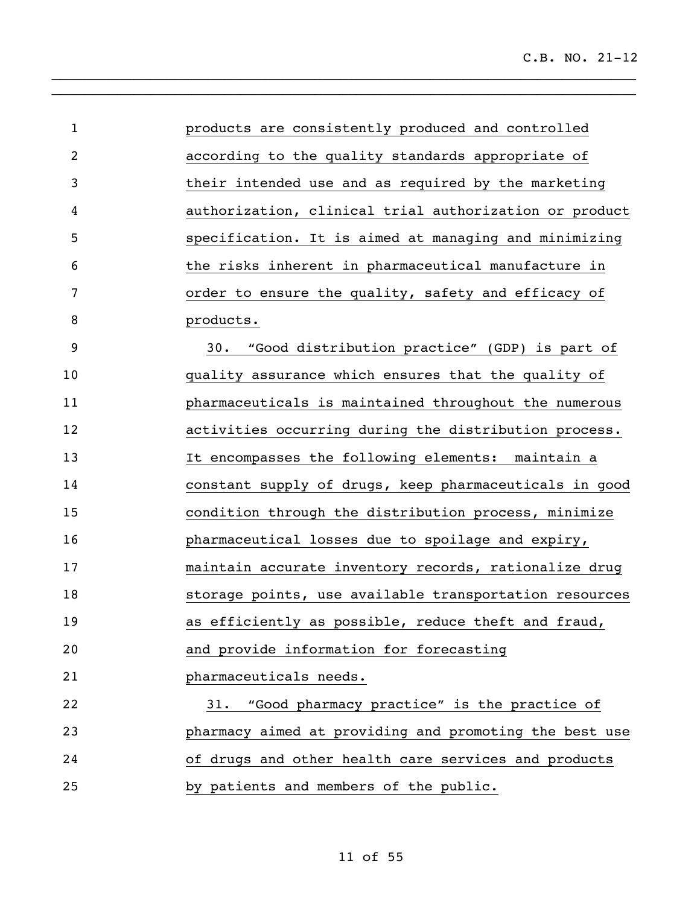| $\mathbf{1}$   | products are consistently produced and controlled      |
|----------------|--------------------------------------------------------|
| $\overline{2}$ | according to the quality standards appropriate of      |
| 3              | their intended use and as required by the marketing    |
| 4              | authorization, clinical trial authorization or product |
| 5              | specification. It is aimed at managing and minimizing  |
| 6              | the risks inherent in pharmaceutical manufacture in    |
| 7              | order to ensure the quality, safety and efficacy of    |
| 8              | products.                                              |
| 9              | "Good distribution practice" (GDP) is part of<br>30.   |
| 10             | quality assurance which ensures that the quality of    |
| 11             | pharmaceuticals is maintained throughout the numerous  |
| 12             | activities occurring during the distribution process.  |
| 13             | It encompasses the following elements: maintain a      |
| 14             | constant supply of drugs, keep pharmaceuticals in good |
| 15             | condition through the distribution process, minimize   |
| 16             | pharmaceutical losses due to spoilage and expiry,      |
| 17             | maintain accurate inventory records, rationalize drug  |
| 18             | storage points, use available transportation resources |
| 19             | as efficiently as possible, reduce theft and fraud,    |
| 20             | and provide information for forecasting                |
| 21             | pharmaceuticals needs.                                 |
| 22             | "Good pharmacy practice" is the practice of<br>31.     |
| 23             | pharmacy aimed at providing and promoting the best use |
| 24             | of drugs and other health care services and products   |
| 25             | by patients and members of the public.                 |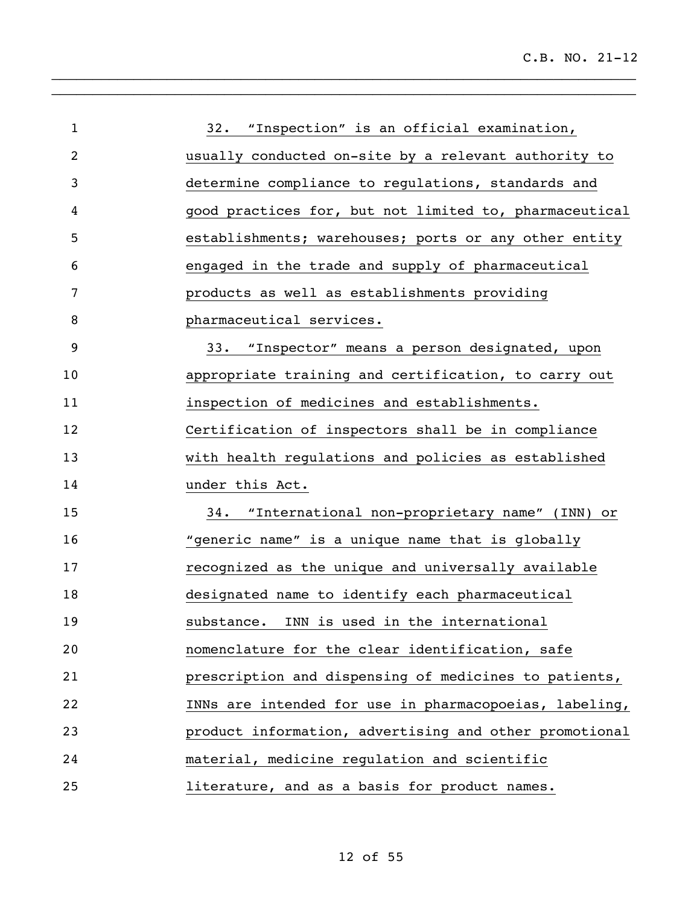| $\mathbf{1}$ | 32. "Inspection" is an official examination,           |
|--------------|--------------------------------------------------------|
| 2            | usually conducted on-site by a relevant authority to   |
| 3            | determine compliance to regulations, standards and     |
| 4            | good practices for, but not limited to, pharmaceutical |
| 5            | establishments; warehouses; ports or any other entity  |
| 6            | engaged in the trade and supply of pharmaceutical      |
| 7            | products as well as establishments providing           |
| 8            | pharmaceutical services.                               |
| 9            | 33. "Inspector" means a person designated, upon        |
| 10           | appropriate training and certification, to carry out   |
| 11           | inspection of medicines and establishments.            |
| 12           | Certification of inspectors shall be in compliance     |
| 13           | with health regulations and policies as established    |
| 14           | under this Act.                                        |
| 15           | 34. "International non-proprietary name" (INN) or      |
| 16           | "generic name" is a unique name that is globally       |
| 17           | recognized as the unique and universally available     |
| 18           | designated name to identify each pharmaceutical        |
| 19           | substance. INN is used in the international            |
| 20           | nomenclature for the clear identification, safe        |
| 21           | prescription and dispensing of medicines to patients,  |
| 22           | INNs are intended for use in pharmacopoeias, labeling, |
| 23           | product information, advertising and other promotional |
| 24           | material, medicine regulation and scientific           |
| 25           | literature, and as a basis for product names.          |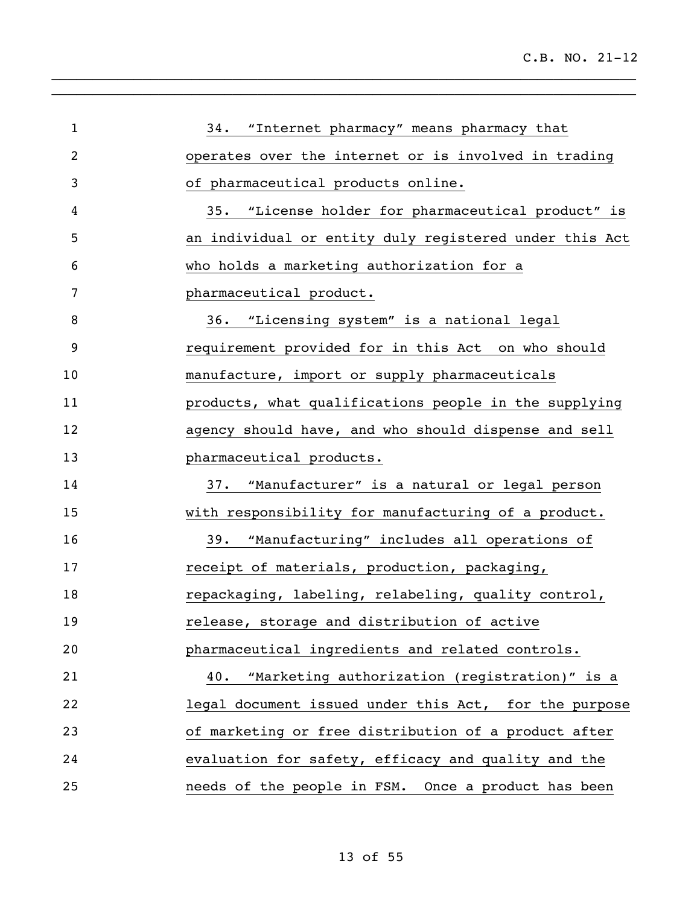| $\mathbf{1}$ | 34. "Internet pharmacy" means pharmacy that            |
|--------------|--------------------------------------------------------|
| 2            | operates over the internet or is involved in trading   |
| 3            | of pharmaceutical products online.                     |
| 4            | 35. "License holder for pharmaceutical product" is     |
| 5            | an individual or entity duly registered under this Act |
| 6            | who holds a marketing authorization for a              |
| 7            | pharmaceutical product.                                |
| 8            | 36. "Licensing system" is a national legal             |
| 9            | requirement provided for in this Act on who should     |
| 10           | manufacture, import or supply pharmaceuticals          |
| 11           | products, what qualifications people in the supplying  |
| 12           | agency should have, and who should dispense and sell   |
| 13           | pharmaceutical products.                               |
| 14           | 37. "Manufacturer" is a natural or legal person        |
| 15           | with responsibility for manufacturing of a product.    |
| 16           | 39. "Manufacturing" includes all operations of         |
| 17           | receipt of materials, production, packaging,           |
| 18           | repackaging, labeling, relabeling, quality control,    |
| 19           | release, storage and distribution of active            |
| 20           | pharmaceutical ingredients and related controls.       |
| 21           | 40. "Marketing authorization (registration)" is a      |
| 22           | legal document issued under this Act, for the purpose  |
| 23           | of marketing or free distribution of a product after   |
| 24           | evaluation for safety, efficacy and quality and the    |
| 25           | needs of the people in FSM. Once a product has been    |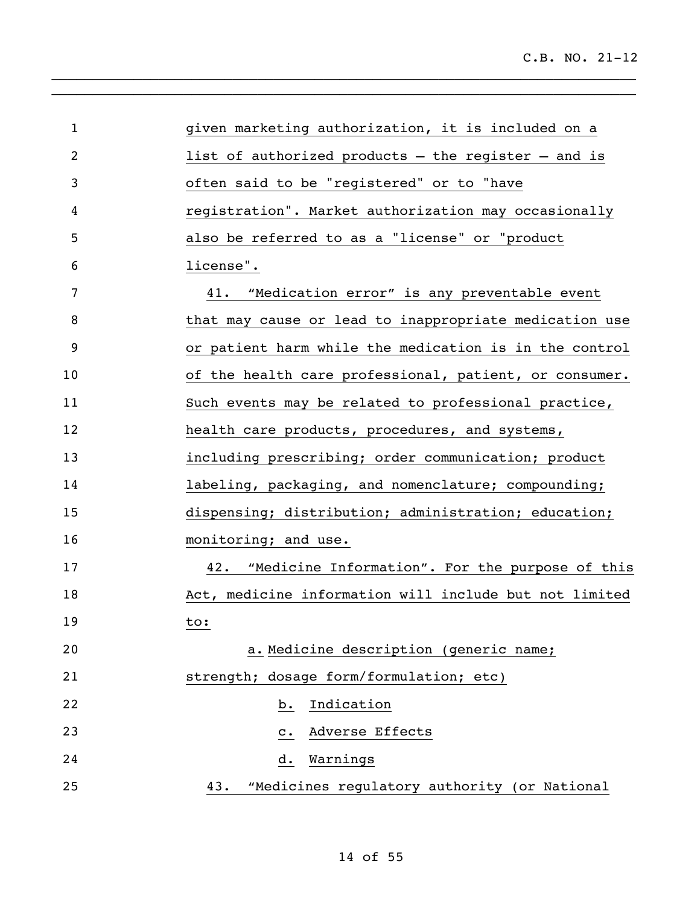| $\mathbf 1$ | given marketing authorization, it is included on a      |
|-------------|---------------------------------------------------------|
| 2           | list of authorized products $-$ the register $-$ and is |
| 3           | often said to be "registered" or to "have               |
| 4           | registration". Market authorization may occasionally    |
| 5           | also be referred to as a "license" or "product          |
| 6           | license".                                               |
| 7           | 41. "Medication error" is any preventable event         |
| 8           | that may cause or lead to inappropriate medication use  |
| 9           | or patient harm while the medication is in the control  |
| 10          | of the health care professional, patient, or consumer.  |
| 11          | Such events may be related to professional practice,    |
| 12          | health care products, procedures, and systems,          |
| 13          | including prescribing; order communication; product     |
| 14          | labeling, packaging, and nomenclature; compounding;     |
| 15          | dispensing; distribution; administration; education;    |
| 16          | monitoring; and use.                                    |
| 17          | 42. "Medicine Information". For the purpose of this     |
| 18          | Act, medicine information will include but not limited  |
| 19          | to:                                                     |
| 20          | a. Medicine description (generic name;                  |
| 21          | strength; dosage form/formulation; etc)                 |
| 22          | Indication<br>b.                                        |
| 23          | Adverse Effects<br>$\mathbf{c}$ .                       |
| 24          | Warnings<br>d.                                          |
| 25          | 43. "Medicines regulatory authority (or National        |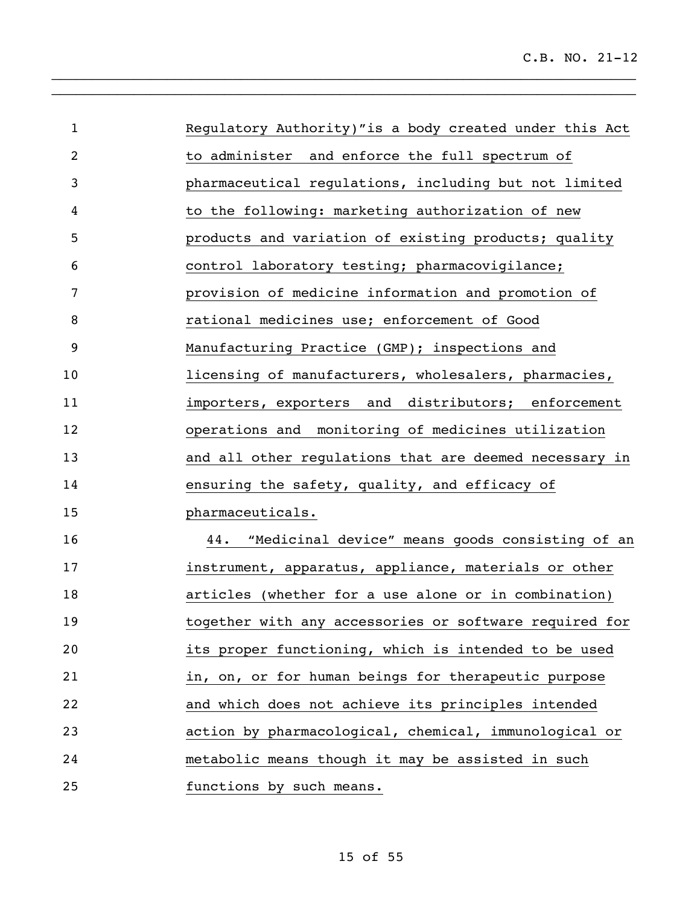| $\mathbf{1}$   | Regulatory Authority)"is a body created under this Act |
|----------------|--------------------------------------------------------|
| $\overline{2}$ | to administer and enforce the full spectrum of         |
| 3              | pharmaceutical regulations, including but not limited  |
| 4              | to the following: marketing authorization of new       |
| 5              | products and variation of existing products; quality   |
| 6              | control laboratory testing; pharmacovigilance;         |
| 7              | provision of medicine information and promotion of     |
| 8              | rational medicines use; enforcement of Good            |
| $\overline{9}$ | Manufacturing Practice (GMP); inspections and          |
| 10             | licensing of manufacturers, wholesalers, pharmacies,   |
| 11             | importers, exporters and distributors; enforcement     |
| 12             | operations and monitoring of medicines utilization     |
| 13             | and all other regulations that are deemed necessary in |
| 14             | ensuring the safety, quality, and efficacy of          |
| 15             | pharmaceuticals.                                       |
| 16             | 44. "Medicinal device" means goods consisting of an    |
| 17             | instrument, apparatus, appliance, materials or other   |
| 18             | articles (whether for a use alone or in combination)   |
| 19             | together with any accessories or software required for |
| 20             | its proper functioning, which is intended to be used   |
| 21             | in, on, or for human beings for therapeutic purpose    |
| 22             | and which does not achieve its principles intended     |
| 23             | action by pharmacological, chemical, immunological or  |
| 24             | metabolic means though it may be assisted in such      |

functions by such means.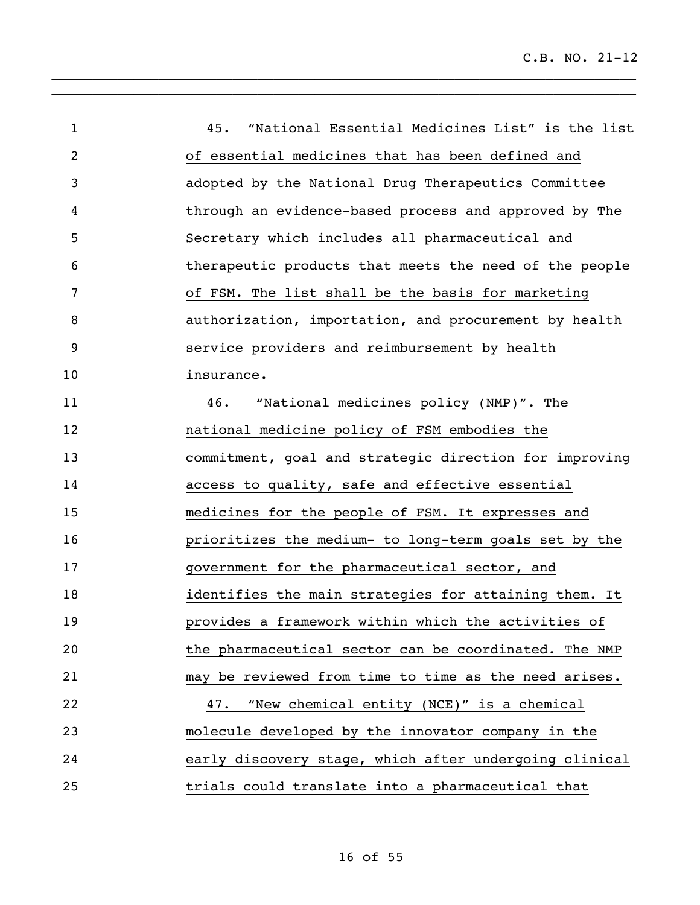| $\mathbf{1}$   | "National Essential Medicines List" is the list<br>45. |
|----------------|--------------------------------------------------------|
| $\overline{2}$ | of essential medicines that has been defined and       |
| 3              | adopted by the National Drug Therapeutics Committee    |
| 4              | through an evidence-based process and approved by The  |
| 5              | Secretary which includes all pharmaceutical and        |
| 6              | therapeutic products that meets the need of the people |
| 7              | of FSM. The list shall be the basis for marketing      |
| 8              | authorization, importation, and procurement by health  |
| 9              | service providers and reimbursement by health          |
| 10             | insurance.                                             |
| 11             | "National medicines policy (NMP)". The<br>46.          |
| 12             | national medicine policy of FSM embodies the           |
| 13             | commitment, goal and strategic direction for improving |
| 14             | access to quality, safe and effective essential        |
| 15             | medicines for the people of FSM. It expresses and      |
| 16             | prioritizes the medium- to long-term goals set by the  |
| 17             | government for the pharmaceutical sector, and          |
| 18             | identifies the main strategies for attaining them. It  |
| 19             | provides a framework within which the activities of    |
| 20             | the pharmaceutical sector can be coordinated. The NMP  |
| 21             | may be reviewed from time to time as the need arises.  |
| 22             | 47. "New chemical entity (NCE)" is a chemical          |
| 23             | molecule developed by the innovator company in the     |
| 24             | early discovery stage, which after undergoing clinical |
| 25             | trials could translate into a pharmaceutical that      |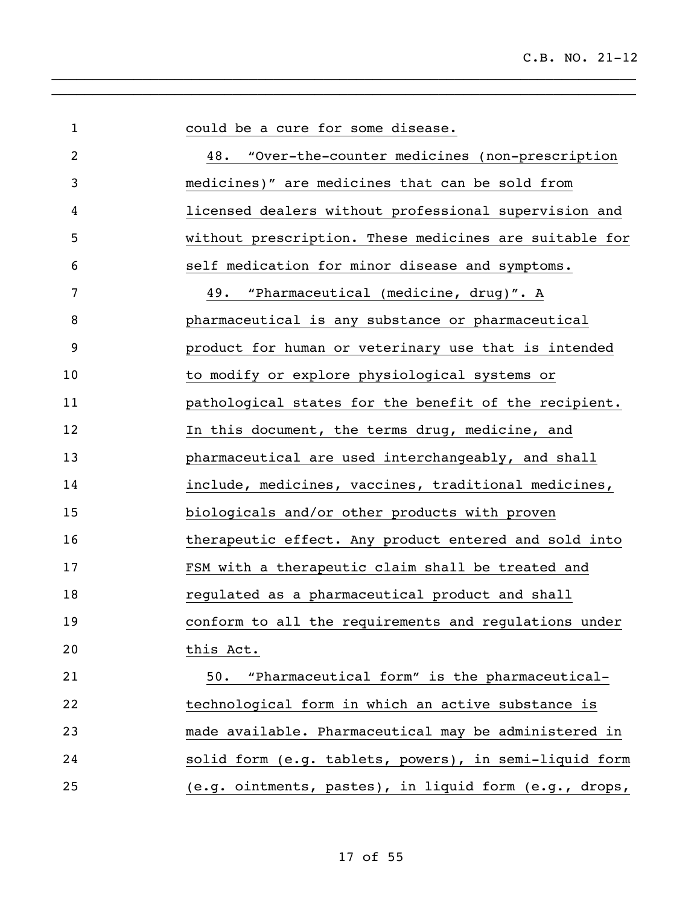| $\mathbf{1}$ | could be a cure for some disease.                      |
|--------------|--------------------------------------------------------|
| 2            | 48.<br>"Over-the-counter medicines (non-prescription   |
| 3            | medicines)" are medicines that can be sold from        |
| 4            | licensed dealers without professional supervision and  |
| 5            | without prescription. These medicines are suitable for |
| 6            | self medication for minor disease and symptoms.        |
| 7            | 49. "Pharmaceutical (medicine, drug)". A               |
| 8            | pharmaceutical is any substance or pharmaceutical      |
| 9            | product for human or veterinary use that is intended   |
| 10           | to modify or explore physiological systems or          |
| 11           | pathological states for the benefit of the recipient.  |
| 12           | In this document, the terms drug, medicine, and        |
| 13           | pharmaceutical are used interchangeably, and shall     |
| 14           | include, medicines, vaccines, traditional medicines,   |
| 15           | biologicals and/or other products with proven          |
| 16           | therapeutic effect. Any product entered and sold into  |
| 17           | FSM with a therapeutic claim shall be treated and      |
| 18           | regulated as a pharmaceutical product and shall        |
| 19           | conform to all the requirements and regulations under  |
| 20           | this Act.                                              |
| 21           | "Pharmaceutical form" is the pharmaceutical-<br>50.    |
| 22           | technological form in which an active substance is     |
| 23           | made available. Pharmaceutical may be administered in  |
| 24           | solid form (e.g. tablets, powers), in semi-liquid form |
| 25           | (e.g. ointments, pastes), in liquid form (e.g., drops, |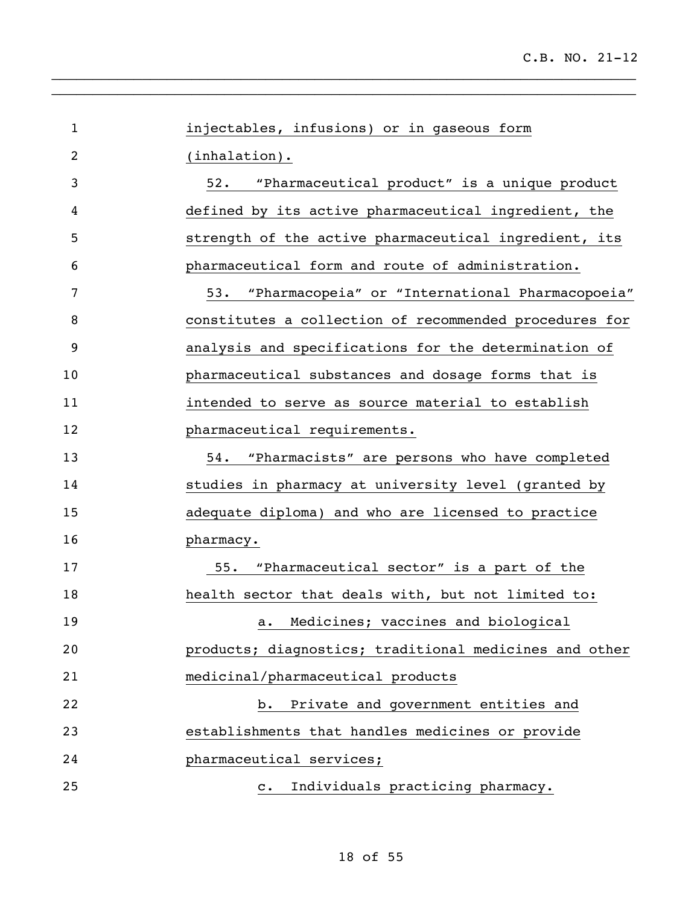| $\mathbf{1}$ | injectables, infusions) or in gaseous form             |
|--------------|--------------------------------------------------------|
| 2            | $(inhalation)$ .                                       |
| 3            | 52.<br>"Pharmaceutical product" is a unique product    |
| 4            | defined by its active pharmaceutical ingredient, the   |
| 5            | strength of the active pharmaceutical ingredient, its  |
| 6            | pharmaceutical form and route of administration.       |
| 7            | "Pharmacopeia" or "International Pharmacopoeia"<br>53. |
| 8            | constitutes a collection of recommended procedures for |
| 9            | analysis and specifications for the determination of   |
| 10           | pharmaceutical substances and dosage forms that is     |
| 11           | intended to serve as source material to establish      |
| 12           | pharmaceutical requirements.                           |
| 13           | "Pharmacists" are persons who have completed<br>54.    |
| 14           | studies in pharmacy at university level (granted by    |
| 15           | adequate diploma) and who are licensed to practice     |
| 16           | pharmacy.                                              |
| 17           | "Pharmaceutical sector" is a part of the<br>55.        |
| 18           | health sector that deals with, but not limited to:     |
| 19           | a. Medicines; vaccines and biological                  |
| 20           | products; diagnostics; traditional medicines and other |
| 21           | medicinal/pharmaceutical products                      |
| 22           | Private and government entities and<br>b.              |
| 23           | establishments that handles medicines or provide       |
| 24           | pharmaceutical services;                               |
| 25           | Individuals practicing pharmacy.<br>$\mathbf{c}$ .     |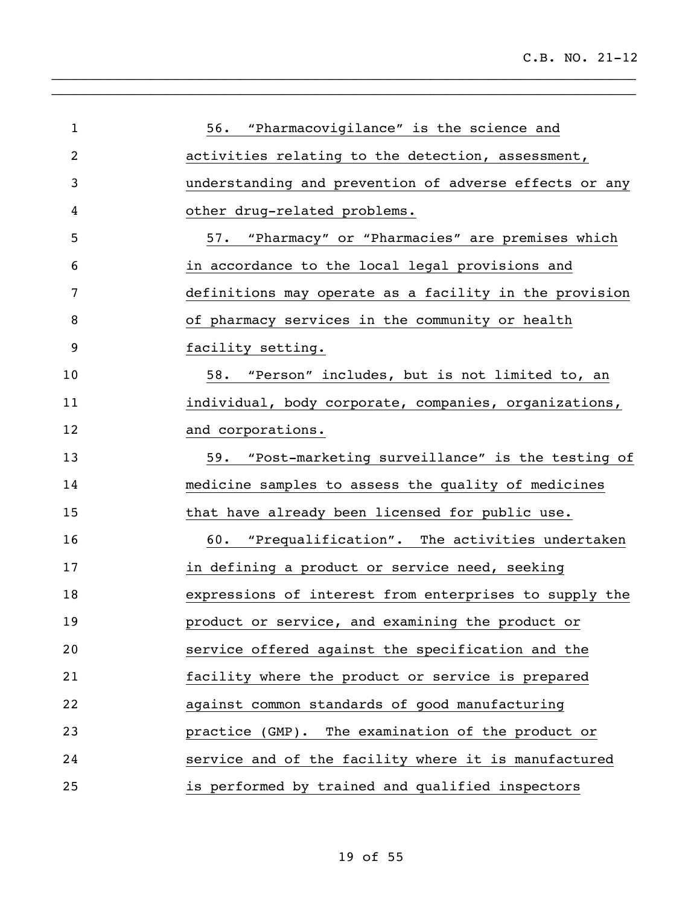| $\mathbf{1}$ | 56. "Pharmacovigilance" is the science and             |
|--------------|--------------------------------------------------------|
| 2            | activities relating to the detection, assessment,      |
| 3            | understanding and prevention of adverse effects or any |
| 4            | other drug-related problems.                           |
| 5            | 57. "Pharmacy" or "Pharmacies" are premises which      |
| 6            | in accordance to the local legal provisions and        |
| 7            | definitions may operate as a facility in the provision |
| 8            | of pharmacy services in the community or health        |
| 9            | facility setting.                                      |
| 10           | 58. "Person" includes, but is not limited to, an       |
| 11           | individual, body corporate, companies, organizations,  |
| 12           | and corporations.                                      |
| 13           | 59. "Post-marketing surveillance" is the testing of    |
| 14           | medicine samples to assess the quality of medicines    |
| 15           | that have already been licensed for public use.        |
| 16           | 60. "Prequalification". The activities undertaken      |
| 17           | in defining a product or service need, seeking         |
| 18           | expressions of interest from enterprises to supply the |
| 19           | product or service, and examining the product or       |
| 20           | service offered against the specification and the      |
| 21           | facility where the product or service is prepared      |
| 22           | against common standards of good manufacturing         |
| 23           | practice (GMP). The examination of the product or      |
| 24           | service and of the facility where it is manufactured   |
| 25           | is performed by trained and qualified inspectors       |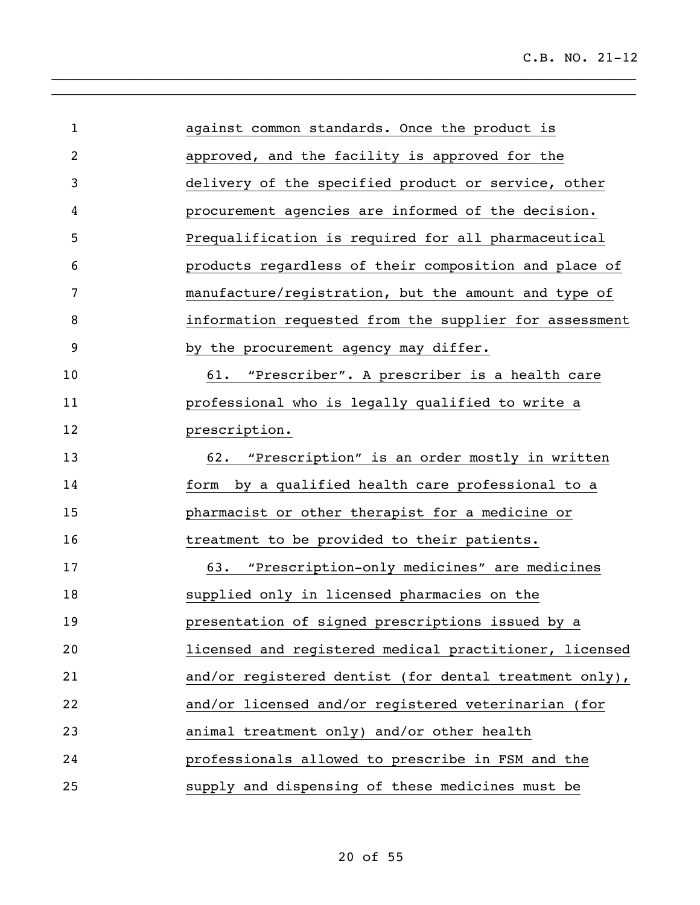| $\mathbf{1}$   | against common standards. Once the product is          |
|----------------|--------------------------------------------------------|
| $\overline{2}$ | approved, and the facility is approved for the         |
| 3              | delivery of the specified product or service, other    |
| 4              | procurement agencies are informed of the decision.     |
| 5              | Prequalification is required for all pharmaceutical    |
| 6              | products regardless of their composition and place of  |
| 7              | manufacture/registration, but the amount and type of   |
| 8              | information requested from the supplier for assessment |
| 9              | by the procurement agency may differ.                  |
| 10             | 61. "Prescriber". A prescriber is a health care        |
| 11             | professional who is legally qualified to write a       |
| 12             | prescription.                                          |
| 13             | 62. "Prescription" is an order mostly in written       |
| 14             | form by a qualified health care professional to a      |
| 15             | pharmacist or other therapist for a medicine or        |
| 16             | treatment to be provided to their patients.            |
| 17             | 63. "Prescription-only medicines" are medicines        |
| 18             | supplied only in licensed pharmacies on the            |
| 19             | presentation of signed prescriptions issued by a       |
| 20             | licensed and registered medical practitioner, licensed |
| 21             | and/or registered dentist (for dental treatment only), |
| 22             | and/or licensed and/or registered veterinarian (for    |
| 23             | animal treatment only) and/or other health             |
| 24             | professionals allowed to prescribe in FSM and the      |
| 25             | supply and dispensing of these medicines must be       |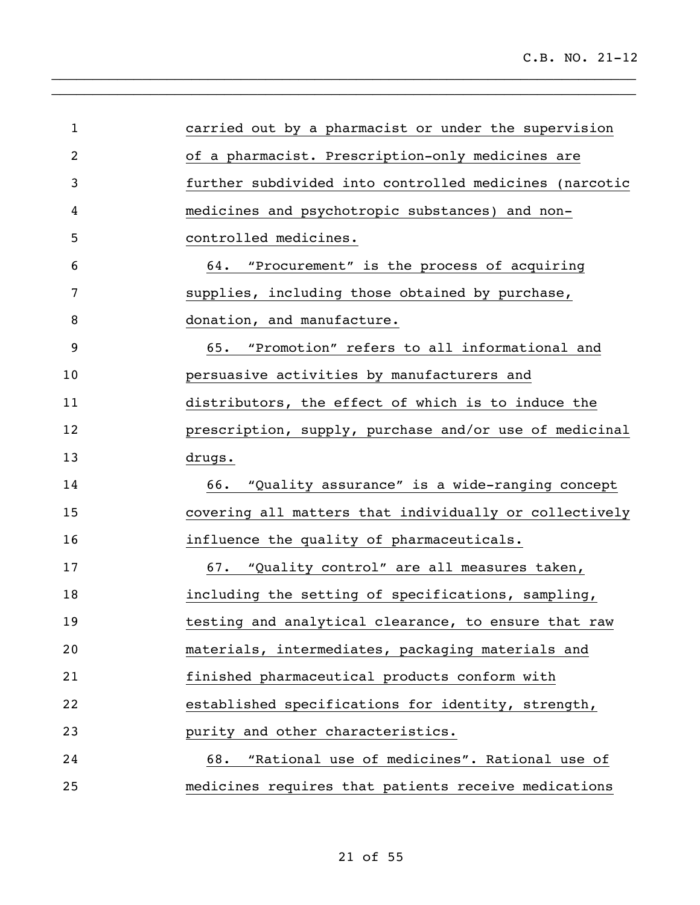| $\mathbf{1}$ | carried out by a pharmacist or under the supervision   |
|--------------|--------------------------------------------------------|
| 2            | of a pharmacist. Prescription-only medicines are       |
| 3            | further subdivided into controlled medicines (narcotic |
| 4            | medicines and psychotropic substances) and non-        |
| 5            | controlled medicines.                                  |
| 6            | 64. "Procurement" is the process of acquiring          |
| 7            | supplies, including those obtained by purchase,        |
| 8            | donation, and manufacture.                             |
| 9            | 65. "Promotion" refers to all informational and        |
| 10           | persuasive activities by manufacturers and             |
| 11           | distributors, the effect of which is to induce the     |
| 12           | prescription, supply, purchase and/or use of medicinal |
| 13           | drugs.                                                 |
| 14           | 66. "Quality assurance" is a wide-ranging concept      |
| 15           | covering all matters that individually or collectively |
| 16           | influence the quality of pharmaceuticals.              |
| 17           |                                                        |
|              | 67. "Quality control" are all measures taken,          |
| 18           | including the setting of specifications, sampling,     |
| 19           | testing and analytical clearance, to ensure that raw   |
| 20           | materials, intermediates, packaging materials and      |
| 21           | finished pharmaceutical products conform with          |
| 22           | established specifications for identity, strength,     |
| 23           | purity and other characteristics.                      |
| 24           | 68. "Rational use of medicines". Rational use of       |
| 25           | medicines requires that patients receive medications   |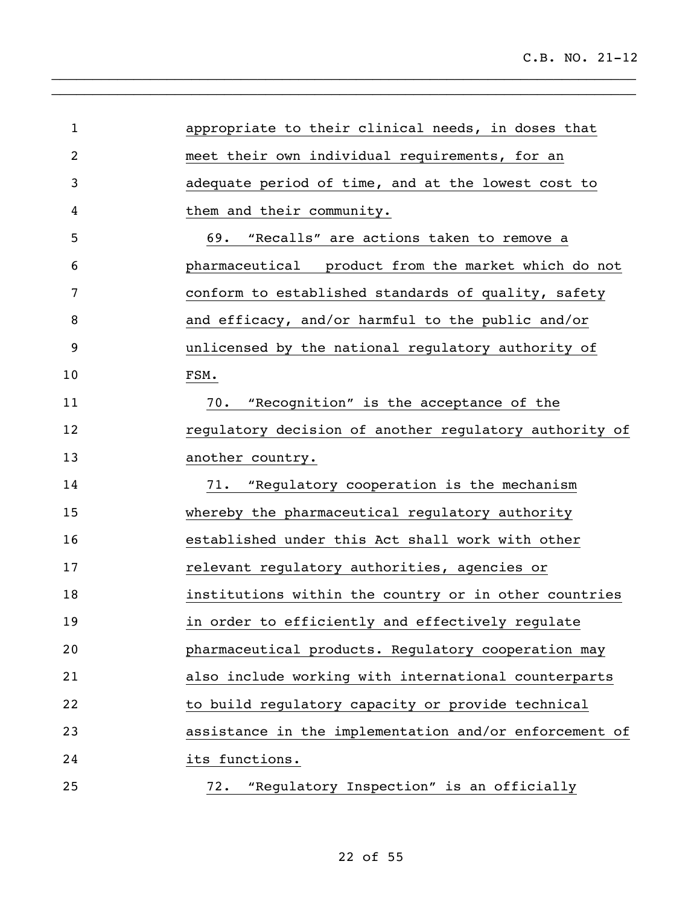appropriate to their clinical needs, in doses that meet their own individual requirements, for an adequate period of time, and at the lowest cost to them and their community. 69. "Recalls" are actions taken to remove a pharmaceutical product from the market which do not conform to established standards of quality, safety and efficacy, and/or harmful to the public and/or unlicensed by the national regulatory authority of FSM. 70. "Recognition" is the acceptance of the regulatory decision of another regulatory authority of 13 another country. 71. "Regulatory cooperation is the mechanism whereby the pharmaceutical regulatory authority established under this Act shall work with other relevant regulatory authorities, agencies or institutions within the country or in other countries in order to efficiently and effectively regulate pharmaceutical products. Regulatory cooperation may also include working with international counterparts to build regulatory capacity or provide technical assistance in the implementation and/or enforcement of its functions. 72. "Regulatory Inspection" is an officially

 $\_$  $\_$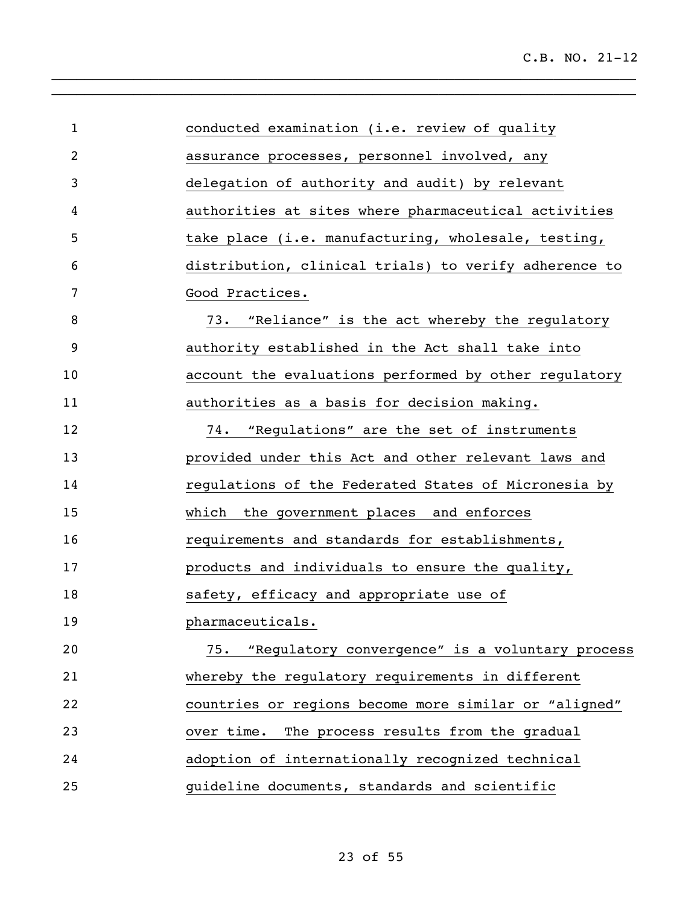| $\mathbf{1}$   | conducted examination (i.e. review of quality          |
|----------------|--------------------------------------------------------|
| $\overline{2}$ | assurance processes, personnel involved, any           |
| 3              | delegation of authority and audit) by relevant         |
| 4              | authorities at sites where pharmaceutical activities   |
| 5              | take place (i.e. manufacturing, wholesale, testing,    |
| 6              | distribution, clinical trials) to verify adherence to  |
| 7              | Good Practices.                                        |
| 8              | "Reliance" is the act whereby the regulatory<br>73.    |
| 9              | authority established in the Act shall take into       |
| 10             | account the evaluations performed by other regulatory  |
| 11             | authorities as a basis for decision making.            |
| 12             | 74.<br>"Regulations" are the set of instruments        |
| 13             | provided under this Act and other relevant laws and    |
| 14             | regulations of the Federated States of Micronesia by   |
| 15             | which the government places and enforces               |
| 16             | requirements and standards for establishments,         |
| 17             | products and individuals to ensure the quality,        |
| 18             | safety, efficacy and appropriate use of                |
| 19             | pharmaceuticals.                                       |
| 20             | "Regulatory convergence" is a voluntary process<br>75. |
| 21             | whereby the regulatory requirements in different       |
| 22             | countries or regions become more similar or "aligned"  |
| 23             | The process results from the gradual<br>over time.     |
| 24             | adoption of internationally recognized technical       |
| 25             | guideline documents, standards and scientific          |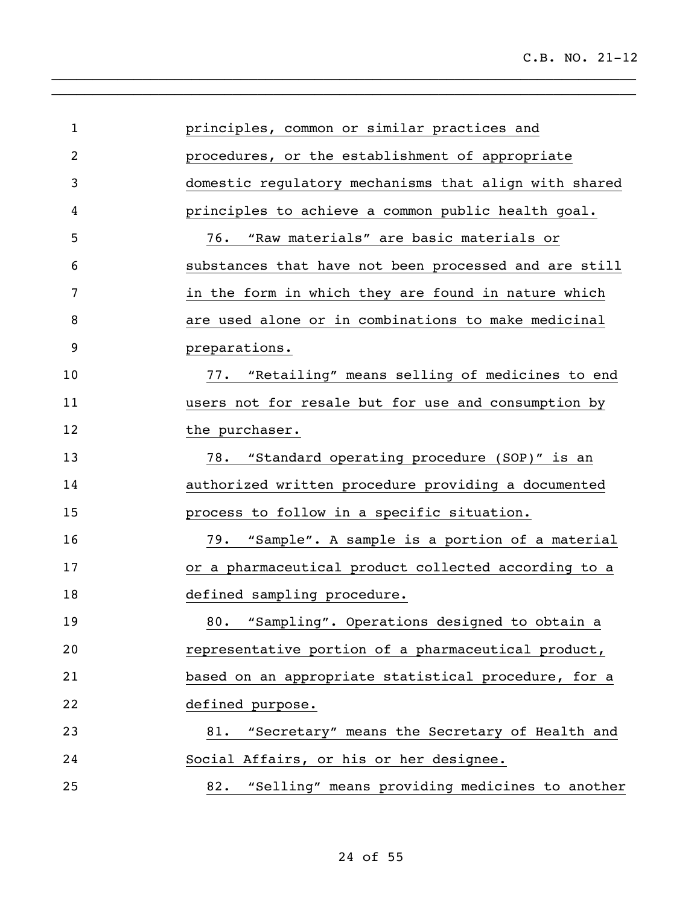| $\mathbf{1}$ | principles, common or similar practices and           |
|--------------|-------------------------------------------------------|
| 2            | procedures, or the establishment of appropriate       |
| 3            | domestic regulatory mechanisms that align with shared |
| 4            | principles to achieve a common public health goal.    |
| 5            | 76.<br>"Raw materials" are basic materials or         |
| 6            | substances that have not been processed and are still |
| 7            | in the form in which they are found in nature which   |
| 8            | are used alone or in combinations to make medicinal   |
| 9            | preparations.                                         |
| 10           | 77. "Retailing" means selling of medicines to end     |
| 11           | users not for resale but for use and consumption by   |
| 12           | the purchaser.                                        |
| 13           | "Standard operating procedure (SOP)" is an<br>78.     |
| 14           | authorized written procedure providing a documented   |
| 15           | process to follow in a specific situation.            |
| 16           | "Sample". A sample is a portion of a material<br>79.  |
| 17           | or a pharmaceutical product collected according to a  |
| 18           | defined sampling procedure.                           |
| 19           | "Sampling". Operations designed to obtain a<br>80.    |
| 20           | representative portion of a pharmaceutical product,   |
| 21           | based on an appropriate statistical procedure, for a  |
| 22           | defined purpose.                                      |
| 23           | "Secretary" means the Secretary of Health and<br>81.  |
| 24           | Social Affairs, or his or her designee.               |
| 25           | "Selling" means providing medicines to another<br>82. |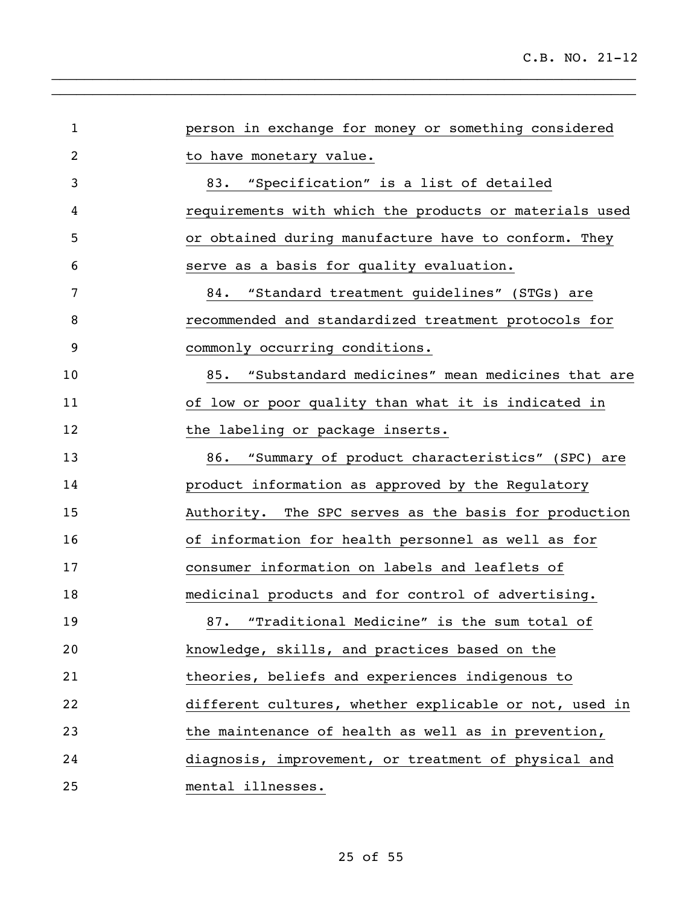| $\mathbf{1}$ | person in exchange for money or something considered   |
|--------------|--------------------------------------------------------|
| 2            | to have monetary value.                                |
| 3            | 83. "Specification" is a list of detailed              |
| 4            | requirements with which the products or materials used |
| 5            | or obtained during manufacture have to conform. They   |
| 6            | serve as a basis for quality evaluation.               |
| 7            | 84. "Standard treatment guidelines" (STGs) are         |
| 8            | recommended and standardized treatment protocols for   |
| 9            | commonly occurring conditions.                         |
| 10           | 85. "Substandard medicines" mean medicines that are    |
| 11           | of low or poor quality than what it is indicated in    |
| 12           | the labeling or package inserts.                       |
| 13           | 86. "Summary of product characteristics" (SPC) are     |
| 14           | product information as approved by the Regulatory      |
| 15           | Authority. The SPC serves as the basis for production  |
| 16           | of information for health personnel as well as for     |
| 17           | consumer information on labels and leaflets of         |
| 18           | medicinal products and for control of advertising.     |
| 19           | 87. "Traditional Medicine" is the sum total of         |
| 20           | knowledge, skills, and practices based on the          |
| 21           | theories, beliefs and experiences indigenous to        |
| 22           | different cultures, whether explicable or not, used in |
| 23           | the maintenance of health as well as in prevention,    |
| 24           | diagnosis, improvement, or treatment of physical and   |
| 25           | mental illnesses.                                      |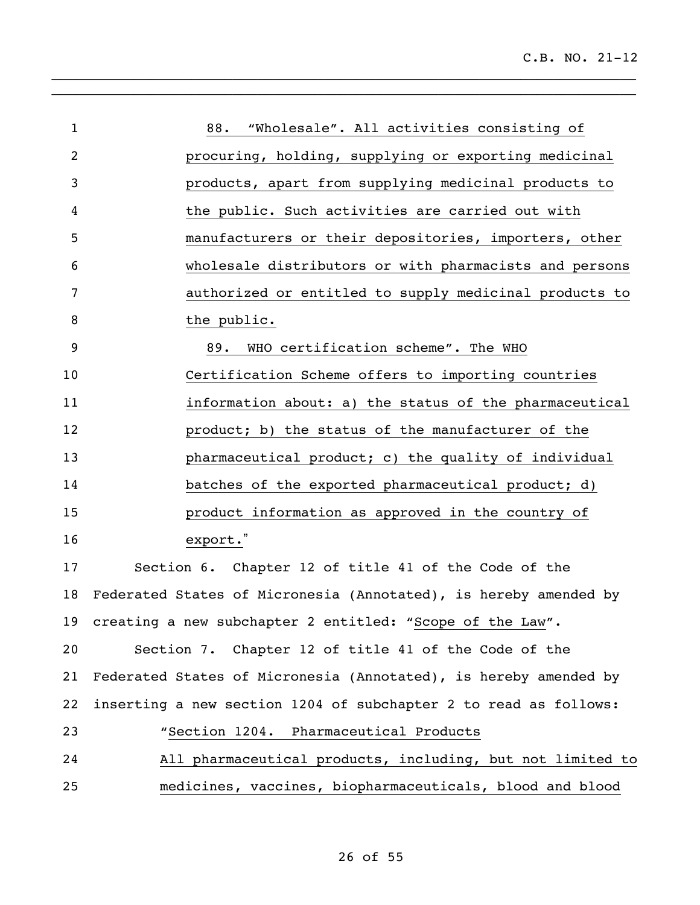| $\mathbf{1}$ | "Wholesale". All activities consisting of<br>88.                 |
|--------------|------------------------------------------------------------------|
| 2            | procuring, holding, supplying or exporting medicinal             |
| 3            | products, apart from supplying medicinal products to             |
| 4            | the public. Such activities are carried out with                 |
| 5            | manufacturers or their depositories, importers, other            |
| 6            | wholesale distributors or with pharmacists and persons           |
| 7            | authorized or entitled to supply medicinal products to           |
| 8            | the public.                                                      |
| 9            | WHO certification scheme". The WHO<br>89.                        |
| 10           | Certification Scheme offers to importing countries               |
| 11           | information about: a) the status of the pharmaceutical           |
| 12           | product; b) the status of the manufacturer of the                |
| 13           | pharmaceutical product; c) the quality of individual             |
| 14           | batches of the exported pharmaceutical product; d)               |
| 15           | product information as approved in the country of                |
| 16           | export."                                                         |
| 17           | Section 6. Chapter 12 of title 41 of the Code of the             |
| 18           | Federated States of Micronesia (Annotated), is hereby amended by |
| 19           | creating a new subchapter 2 entitled: "Scope of the Law".        |
| 20           | Section 7. Chapter 12 of title 41 of the Code of the             |
| 21           | Federated States of Micronesia (Annotated), is hereby amended by |
| 22           | inserting a new section 1204 of subchapter 2 to read as follows: |
| 23           | "Section 1204. Pharmaceutical Products                           |
| 24           | All pharmaceutical products, including, but not limited to       |
| 25           | medicines, vaccines, biopharmaceuticals, blood and blood         |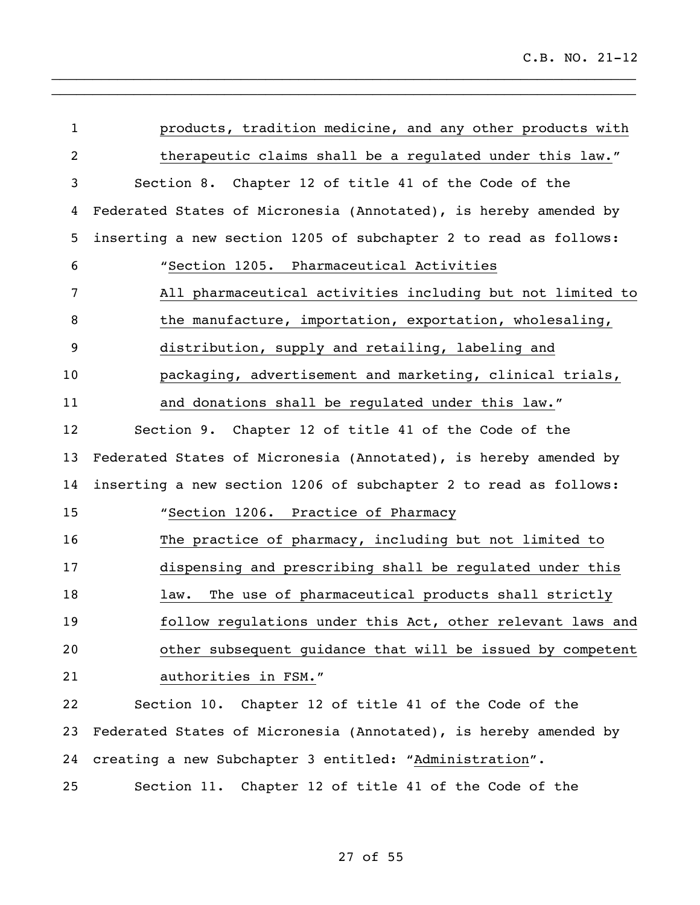| $\mathbf{1}$   | products, tradition medicine, and any other products with        |
|----------------|------------------------------------------------------------------|
| $\overline{2}$ | therapeutic claims shall be a regulated under this law."         |
| 3              | Section 8. Chapter 12 of title 41 of the Code of the             |
| 4              | Federated States of Micronesia (Annotated), is hereby amended by |
| 5              | inserting a new section 1205 of subchapter 2 to read as follows: |
| 6              | "Section 1205. Pharmaceutical Activities                         |
| 7              | All pharmaceutical activities including but not limited to       |
| 8              | the manufacture, importation, exportation, wholesaling,          |
| 9              | distribution, supply and retailing, labeling and                 |
| 10             | packaging, advertisement and marketing, clinical trials,         |
| 11             | and donations shall be regulated under this law."                |
| 12             | Section 9. Chapter 12 of title 41 of the Code of the             |
| 13             | Federated States of Micronesia (Annotated), is hereby amended by |
| 14             | inserting a new section 1206 of subchapter 2 to read as follows: |
| 15             | "Section 1206. Practice of Pharmacy                              |
| 16             | The practice of pharmacy, including but not limited to           |
| 17             | dispensing and prescribing shall be regulated under this         |
| 18             | The use of pharmaceutical products shall strictly<br>law.        |
| 19             | follow regulations under this Act, other relevant laws and       |
| 20             | other subsequent guidance that will be issued by competent       |
| 21             | authorities in FSM."                                             |
| 22             | Section 10. Chapter 12 of title 41 of the Code of the            |
| 23             | Federated States of Micronesia (Annotated), is hereby amended by |
| 24             | creating a new Subchapter 3 entitled: "Administration".          |
| 25             | Section 11. Chapter 12 of title 41 of the Code of the            |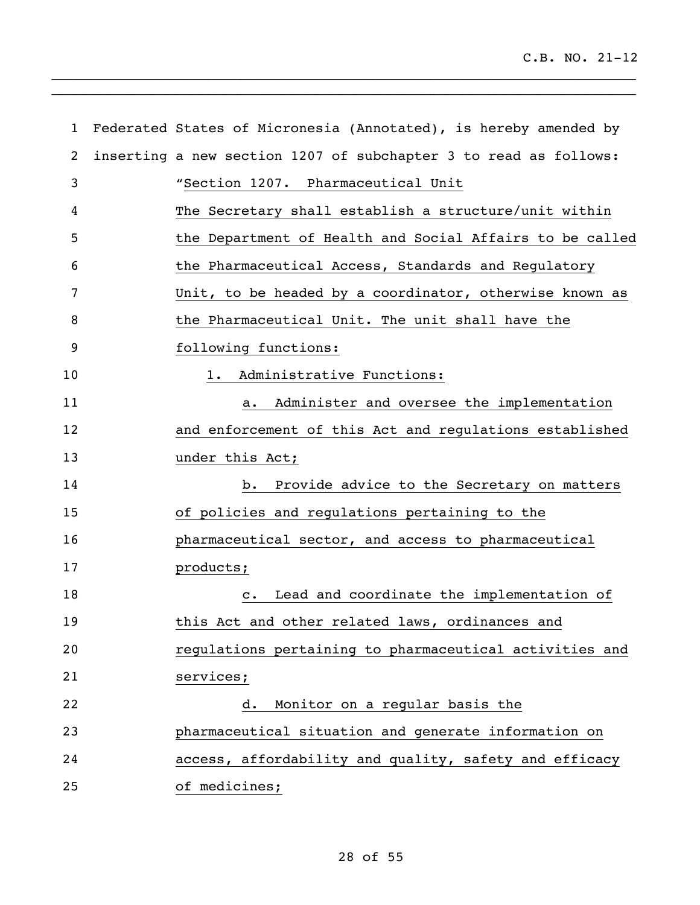| $\mathbf{1}$ | Federated States of Micronesia (Annotated), is hereby amended by |
|--------------|------------------------------------------------------------------|
| 2            | inserting a new section 1207 of subchapter 3 to read as follows: |
| 3            | "Section 1207. Pharmaceutical Unit                               |
| 4            | The Secretary shall establish a structure/unit within            |
| 5            | the Department of Health and Social Affairs to be called         |
| 6            | the Pharmaceutical Access, Standards and Regulatory              |
| 7            | Unit, to be headed by a coordinator, otherwise known as          |
| 8            | the Pharmaceutical Unit. The unit shall have the                 |
| 9            | following functions:                                             |
| 10           | 1. Administrative Functions:                                     |
| 11           | Administer and oversee the implementation<br>a.                  |
| 12           | and enforcement of this Act and regulations established          |
| 13           | under this Act;                                                  |
| 14           | Provide advice to the Secretary on matters<br>b.                 |
| 15           | of policies and regulations pertaining to the                    |
| 16           | pharmaceutical sector, and access to pharmaceutical              |
| 17           | products;                                                        |
| 18           | Lead and coordinate the implementation of<br>$\mathbf{c}$ .      |
| 19           | this Act and other related laws, ordinances and                  |
| 20           | regulations pertaining to pharmaceutical activities and          |
| 21           | services;                                                        |
| 22           | Monitor on a regular basis the<br>d.                             |
| 23           | pharmaceutical situation and generate information on             |
| 24           | access, affordability and quality, safety and efficacy           |
| 25           | of medicines;                                                    |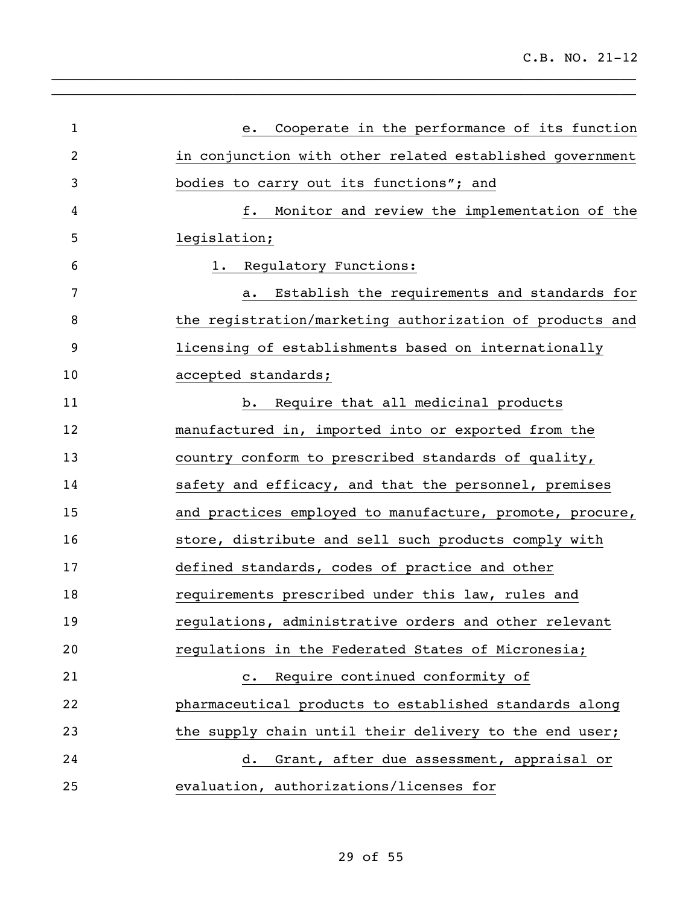| $\mathbf{1}$ | Cooperate in the performance of its function<br>е.       |
|--------------|----------------------------------------------------------|
| 2            | in conjunction with other related established government |
| 3            | bodies to carry out its functions"; and                  |
| 4            | f.<br>Monitor and review the implementation of the       |
| 5            | legislation;                                             |
| 6            | Regulatory Functions:<br>1.                              |
| 7            | Establish the requirements and standards for<br>a.       |
| 8            | the registration/marketing authorization of products and |
| 9            | licensing of establishments based on internationally     |
| 10           | accepted standards;                                      |
| 11           | Require that all medicinal products<br>b.                |
| 12           | manufactured in, imported into or exported from the      |
| 13           | country conform to prescribed standards of quality,      |
| 14           | safety and efficacy, and that the personnel, premises    |
| 15           | and practices employed to manufacture, promote, procure, |
| 16           | store, distribute and sell such products comply with     |
| 17           | defined standards, codes of practice and other           |
| 18           | requirements prescribed under this law, rules and        |
| 19           | regulations, administrative orders and other relevant    |
| 20           | regulations in the Federated States of Micronesia;       |
| 21           | Require continued conformity of<br>$\mathbf{c}$ .        |
| 22           | pharmaceutical products to established standards along   |
| 23           | the supply chain until their delivery to the end user;   |
| 24           | Grant, after due assessment, appraisal or<br>d.          |
| 25           | evaluation, authorizations/licenses for                  |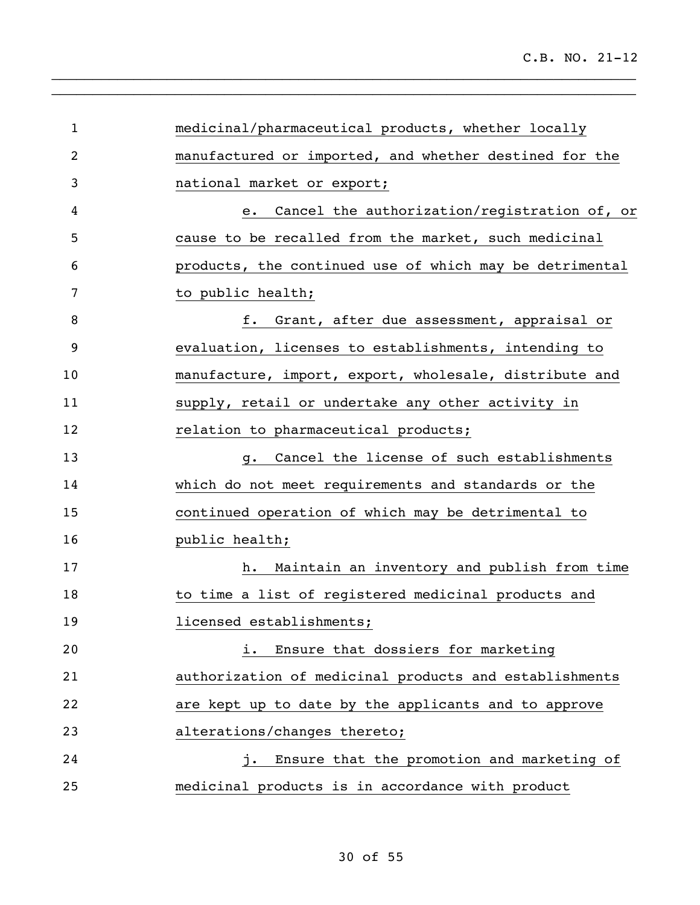| $\mathbf{1}$   | medicinal/pharmaceutical products, whether locally      |
|----------------|---------------------------------------------------------|
| $\overline{2}$ | manufactured or imported, and whether destined for the  |
| 3              | national market or export;                              |
| 4              | Cancel the authorization/registration of, or<br>e.      |
| 5              | cause to be recalled from the market, such medicinal    |
| 6              | products, the continued use of which may be detrimental |
| 7              | to public health;                                       |
| 8              | Grant, after due assessment, appraisal or<br>f.         |
| 9              | evaluation, licenses to establishments, intending to    |
| 10             | manufacture, import, export, wholesale, distribute and  |
| 11             | supply, retail or undertake any other activity in       |
| 12             | relation to pharmaceutical products;                    |
| 13             | Cancel the license of such establishments<br>g.         |
| 14             | which do not meet requirements and standards or the     |
| 15             | continued operation of which may be detrimental to      |
| 16             | public health;                                          |
| 17             | Maintain an inventory and publish from time<br>h.       |
| 18             | to time a list of registered medicinal products and     |
| 19             | licensed establishments;                                |
| 20             | Ensure that dossiers for marketing<br>i.                |
| 21             | authorization of medicinal products and establishments  |
| 22             | are kept up to date by the applicants and to approve    |
| 23             | alterations/changes thereto;                            |
| 24             | Ensure that the promotion and marketing of<br>j.        |
| 25             | medicinal products is in accordance with product        |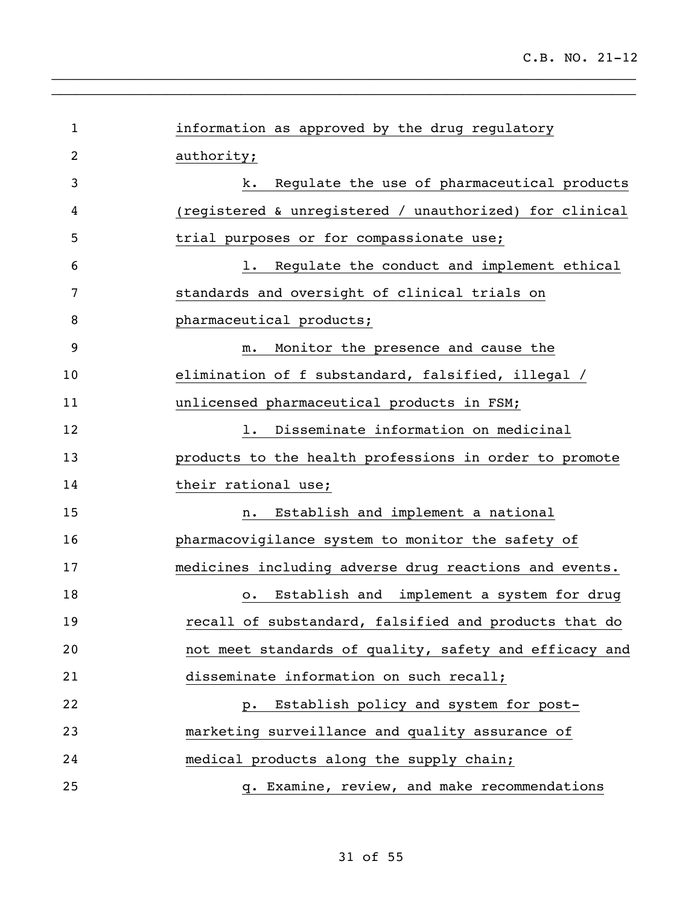| $\mathbf 1$ | information as approved by the drug regulatory          |
|-------------|---------------------------------------------------------|
| 2           | authority;                                              |
| 3           | Regulate the use of pharmaceutical products<br>k.       |
| 4           | (registered & unregistered / unauthorized) for clinical |
| 5           | trial purposes or for compassionate use;                |
| 6           | Regulate the conduct and implement ethical<br>$1$ .     |
| 7           | standards and oversight of clinical trials on           |
| 8           | pharmaceutical products;                                |
| 9           | Monitor the presence and cause the<br>$m$ .             |
| 10          | elimination of f substandard, falsified, illegal /      |
| 11          | unlicensed pharmaceutical products in FSM;              |
| 12          | Disseminate information on medicinal<br>$1$ .           |
| 13          | products to the health professions in order to promote  |
| 14          | their rational use;                                     |
| 15          | Establish and implement a national<br>n.                |
| 16          | pharmacovigilance system to monitor the safety of       |
| 17          | medicines including adverse drug reactions and events.  |
| 18          | Establish and implement a system for drug<br>$\circ$ .  |
| 19          | recall of substandard, falsified and products that do   |
| 20          | not meet standards of quality, safety and efficacy and  |
| 21          | disseminate information on such recall;                 |
| 22          | Establish policy and system for post-<br>$p$ .          |
| 23          | marketing surveillance and quality assurance of         |
| 24          | medical products along the supply chain;                |
| 25          | q. Examine, review, and make recommendations            |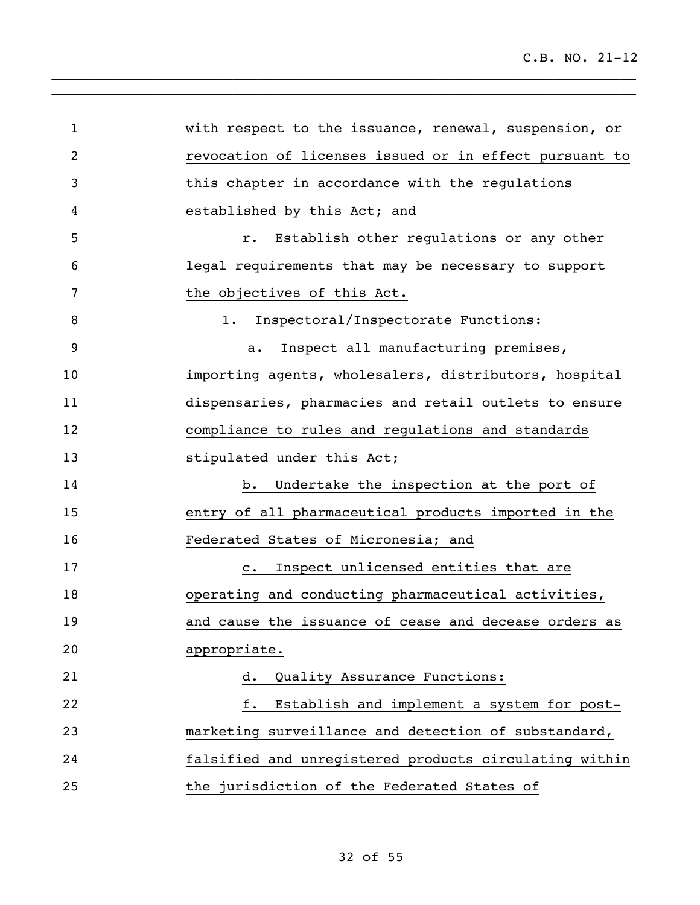| $\mathbf{1}$ | with respect to the issuance, renewal, suspension, or  |
|--------------|--------------------------------------------------------|
| 2            | revocation of licenses issued or in effect pursuant to |
| 3            | this chapter in accordance with the regulations        |
| 4            | established by this Act; and                           |
| 5            | Establish other regulations or any other<br>$r$ .      |
| 6            | legal requirements that may be necessary to support    |
| 7            | the objectives of this Act.                            |
| 8            | Inspectoral/Inspectorate Functions:<br>1.              |
| 9            | Inspect all manufacturing premises,<br>а.              |
| 10           | importing agents, wholesalers, distributors, hospital  |
| 11           | dispensaries, pharmacies and retail outlets to ensure  |
| 12           | compliance to rules and regulations and standards      |
| 13           | stipulated under this Act;                             |
| 14           | Undertake the inspection at the port of<br>b.          |
| 15           | entry of all pharmaceutical products imported in the   |
| 16           | Federated States of Micronesia; and                    |
| 17           | Inspect unlicensed entities that are<br>$\mathbf{c}$ . |
| 18           | operating and conducting pharmaceutical activities,    |
| 19           | and cause the issuance of cease and decease orders as  |
| 20           | appropriate.                                           |
| 21           | Quality Assurance Functions:<br>d.                     |
| 22           | Establish and implement a system for post-<br>f.       |
| 23           | marketing surveillance and detection of substandard,   |
| 24           | falsified and unregistered products circulating within |
| 25           | the jurisdiction of the Federated States of            |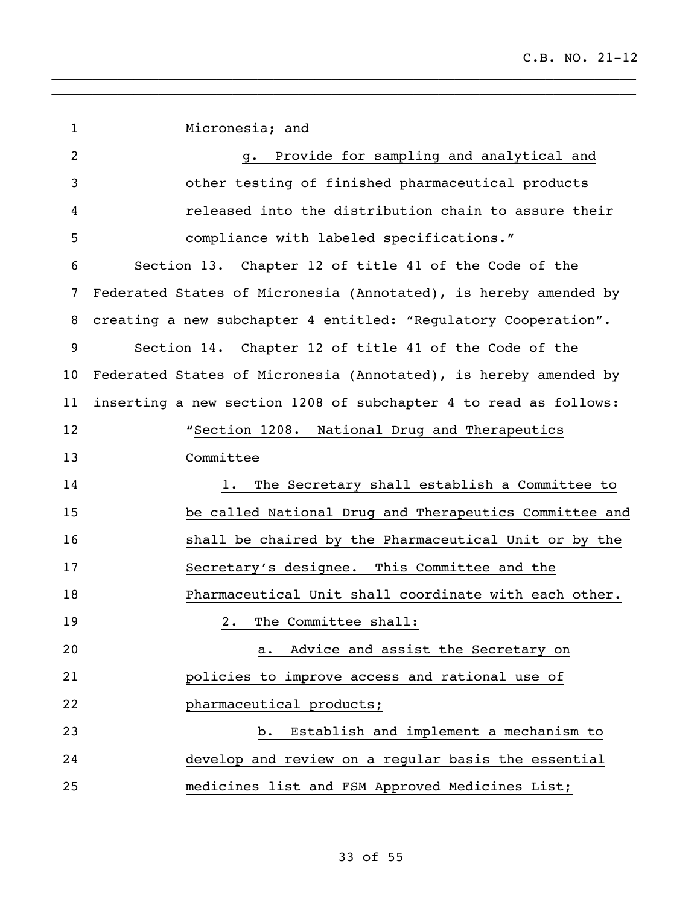| $\mathbf{1}$   | Micronesia; and                                                  |
|----------------|------------------------------------------------------------------|
| $\overline{2}$ | Provide for sampling and analytical and<br>g.                    |
| 3              | other testing of finished pharmaceutical products                |
| 4              | released into the distribution chain to assure their             |
| 5              | compliance with labeled specifications."                         |
| 6              | Section 13. Chapter 12 of title 41 of the Code of the            |
| 7              | Federated States of Micronesia (Annotated), is hereby amended by |
| 8              | creating a new subchapter 4 entitled: "Regulatory Cooperation".  |
| 9              | Section 14. Chapter 12 of title 41 of the Code of the            |
| 10             | Federated States of Micronesia (Annotated), is hereby amended by |
| 11             | inserting a new section 1208 of subchapter 4 to read as follows: |
| 12             | "Section 1208. National Drug and Therapeutics                    |
| 13             | Committee                                                        |
| 14             | The Secretary shall establish a Committee to<br>$1$ .            |
| 15             | be called National Drug and Therapeutics Committee and           |
| 16             | shall be chaired by the Pharmaceutical Unit or by the            |
| 17             | Secretary's designee. This Committee and the                     |
| 18             | Pharmaceutical Unit shall coordinate with each other.            |
| 19             | The Committee shall:<br>2.                                       |
| 20             | Advice and assist the Secretary on<br>a.                         |
| 21             | policies to improve access and rational use of                   |
| 22             | pharmaceutical products;                                         |
| 23             | Establish and implement a mechanism to<br>$b$ .                  |
| 24             | develop and review on a regular basis the essential              |
| 25             | medicines list and FSM Approved Medicines List;                  |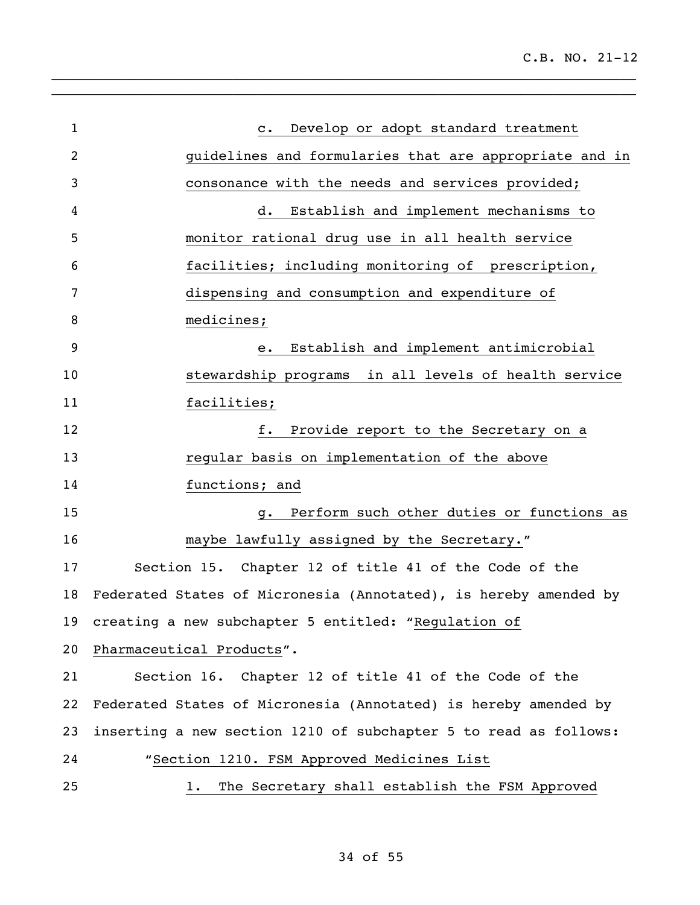| $\mathbf{1}$ | Develop or adopt standard treatment<br>$\mathbf{C}$ .            |
|--------------|------------------------------------------------------------------|
| 2            |                                                                  |
|              | guidelines and formularies that are appropriate and in           |
| 3            | consonance with the needs and services provided;                 |
| 4            | Establish and implement mechanisms to<br>d.                      |
| 5            | monitor rational drug use in all health service                  |
| 6            | facilities; including monitoring of prescription,                |
| 7            | dispensing and consumption and expenditure of                    |
| 8            | medicines;                                                       |
| 9            | Establish and implement antimicrobial<br>e.                      |
| 10           | stewardship programs in all levels of health service             |
| 11           | facilities;                                                      |
| 12           | f.<br>Provide report to the Secretary on a                       |
| 13           | regular basis on implementation of the above                     |
| 14           | functions; and                                                   |
| 15           | Perform such other duties or functions as<br>g.                  |
| 16           | maybe lawfully assigned by the Secretary."                       |
| 17           | Section 15. Chapter 12 of title 41 of the Code of the            |
| 18           | Federated States of Micronesia (Annotated), is hereby amended by |
|              | 19 creating a new subchapter 5 entitled: "Regulation of          |
| 20           | Pharmaceutical Products".                                        |
| 21           | Section 16. Chapter 12 of title 41 of the Code of the            |
| 22           | Federated States of Micronesia (Annotated) is hereby amended by  |
| 23           | inserting a new section 1210 of subchapter 5 to read as follows: |
| 24           | "Section 1210. FSM Approved Medicines List                       |
| 25           | 1. The Secretary shall establish the FSM Approved                |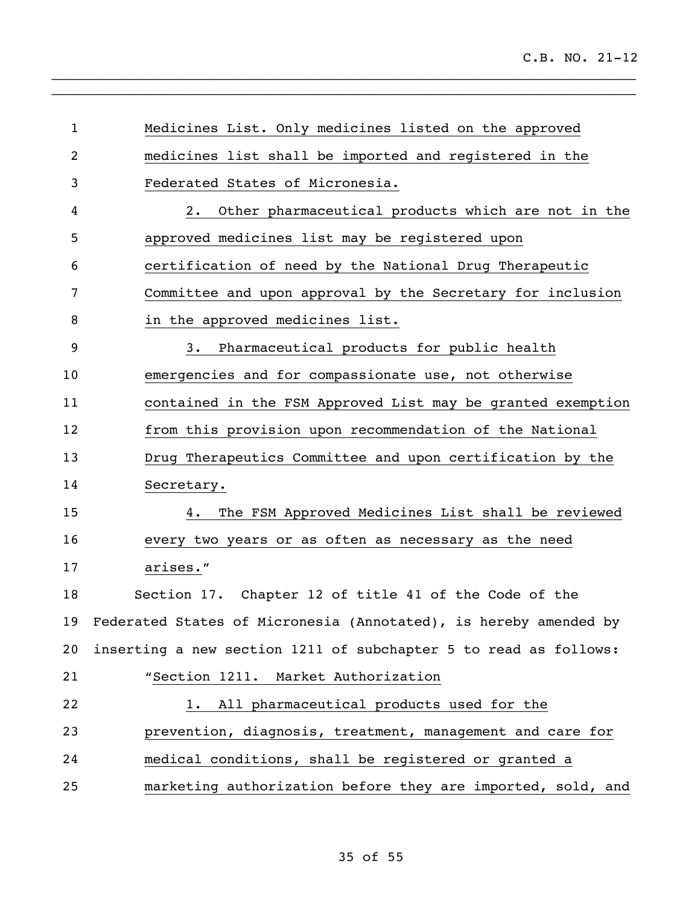| $\mathbf{1}$   | Medicines List. Only medicines listed on the approved            |
|----------------|------------------------------------------------------------------|
| $\overline{2}$ | medicines list shall be imported and registered in the           |
| 3              | Federated States of Micronesia.                                  |
| 4              | Other pharmaceutical products which are not in the<br>$2 \cdot$  |
| 5              | approved medicines list may be registered upon                   |
| 6              | certification of need by the National Drug Therapeutic           |
| 7              | Committee and upon approval by the Secretary for inclusion       |
| 8              | in the approved medicines list.                                  |
| 9              | Pharmaceutical products for public health<br>3.                  |
| 10             | emergencies and for compassionate use, not otherwise             |
| 11             | contained in the FSM Approved List may be granted exemption      |
| 12             | from this provision upon recommendation of the National          |
| 13             | Drug Therapeutics Committee and upon certification by the        |
| 14             | Secretary.                                                       |
| 15             | The FSM Approved Medicines List shall be reviewed<br>4.          |
| 16             | every two years or as often as necessary as the need             |
| 17             | arises."                                                         |
| 18             | Section 17. Chapter 12 of title 41 of the Code of the            |
| 19             | Federated States of Micronesia (Annotated), is hereby amended by |
| 20             | inserting a new section 1211 of subchapter 5 to read as follows: |
| 21             | "Section 1211. Market Authorization                              |
| 22             | All pharmaceutical products used for the<br>1.                   |
| 23             | prevention, diagnosis, treatment, management and care for        |
| 24             | medical conditions, shall be registered or granted a             |
| 25             | marketing authorization before they are imported, sold, and      |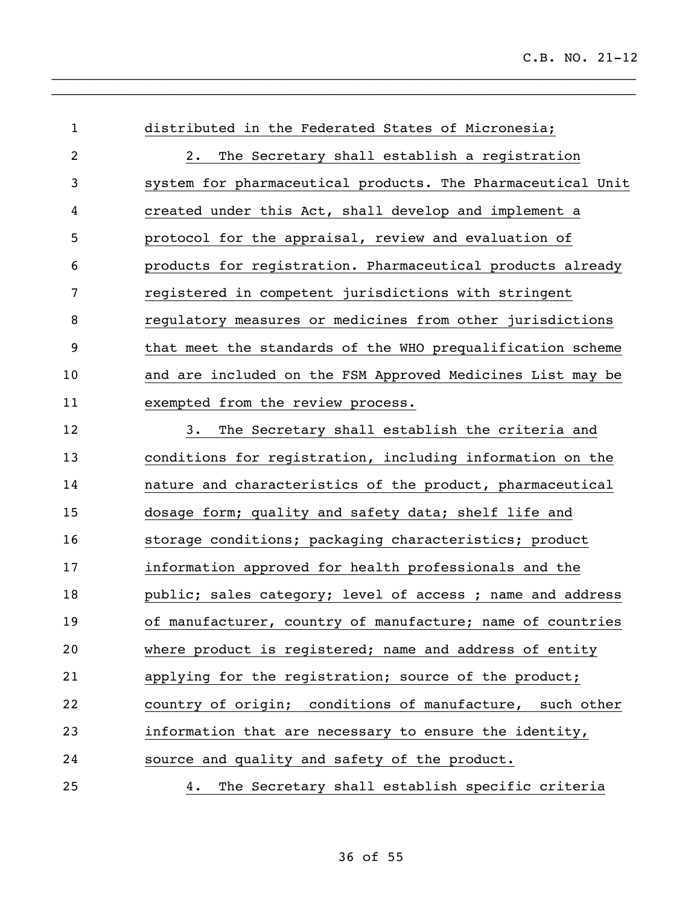distributed in the Federated States of Micronesia; 2. The Secretary shall establish a registration system for pharmaceutical products. The Pharmaceutical Unit created under this Act, shall develop and implement a protocol for the appraisal, review and evaluation of products for registration. Pharmaceutical products already registered in competent jurisdictions with stringent regulatory measures or medicines from other jurisdictions that meet the standards of the WHO prequalification scheme and are included on the FSM Approved Medicines List may be exempted from the review process. 3. The Secretary shall establish the criteria and conditions for registration, including information on the nature and characteristics of the product, pharmaceutical dosage form; quality and safety data; shelf life and 16 storage conditions; packaging characteristics; product information approved for health professionals and the **public;** sales category; level of access ; name and address of manufacturer, country of manufacture; name of countries where product is registered; name and address of entity applying for the registration; source of the product; country of origin; conditions of manufacture, such other information that are necessary to ensure the identity, source and quality and safety of the product. 4. The Secretary shall establish specific criteria

 $\_$  $\_$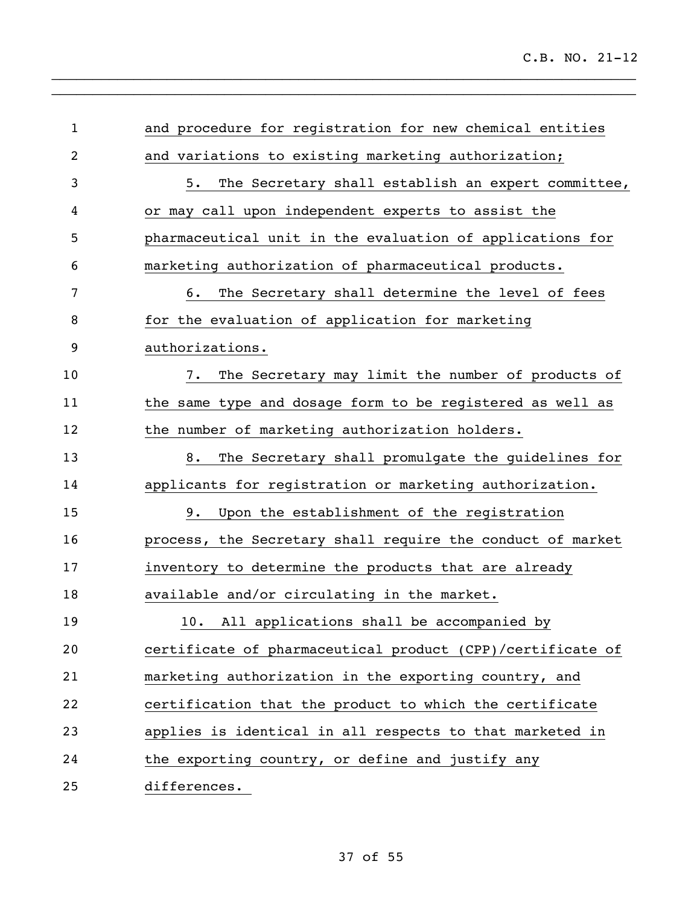| $\mathbf{1}$ | and procedure for registration for new chemical entities   |
|--------------|------------------------------------------------------------|
| 2            | and variations to existing marketing authorization;        |
| 3            | The Secretary shall establish an expert committee,<br>5.   |
| 4            | or may call upon independent experts to assist the         |
| 5            | pharmaceutical unit in the evaluation of applications for  |
| 6            | marketing authorization of pharmaceutical products.        |
| 7            | The Secretary shall determine the level of fees<br>6.      |
| 8            | for the evaluation of application for marketing            |
| 9            | authorizations.                                            |
| 10           | The Secretary may limit the number of products of<br>7.    |
| 11           | the same type and dosage form to be registered as well as  |
| 12           | the number of marketing authorization holders.             |
| 13           | The Secretary shall promulgate the guidelines for<br>8.    |
| 14           | applicants for registration or marketing authorization.    |
| 15           | Upon the establishment of the registration<br>9.           |
| 16           | process, the Secretary shall require the conduct of market |
| 17           | inventory to determine the products that are already       |
| 18           | available and/or circulating in the market.                |
| 19           | 10. All applications shall be accompanied by               |
| 20           | certificate of pharmaceutical product (CPP)/certificate of |
| 21           | marketing authorization in the exporting country, and      |
| 22           | certification that the product to which the certificate    |
| 23           | applies is identical in all respects to that marketed in   |
| 24           | the exporting country, or define and justify any           |
| 25           | differences.                                               |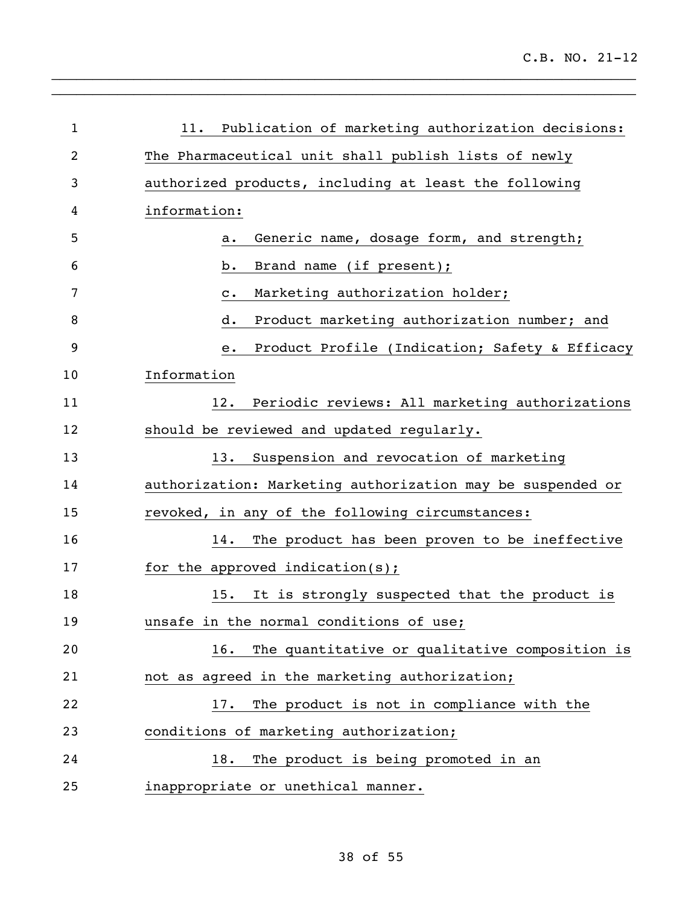| $\mathbf{1}$ | Publication of marketing authorization decisions:<br>11.   |
|--------------|------------------------------------------------------------|
| 2            | The Pharmaceutical unit shall publish lists of newly       |
| 3            | authorized products, including at least the following      |
| 4            | information:                                               |
| 5            | Generic name, dosage form, and strength;<br>a.             |
| 6            | Brand name (if present);<br>b.                             |
| 7            | Marketing authorization holder;<br>$\mathtt{c}$ .          |
| 8            | Product marketing authorization number; and<br>d.          |
| 9            | Product Profile (Indication; Safety & Efficacy<br>е.       |
| 10           | Information                                                |
| 11           | Periodic reviews: All marketing authorizations<br>12.      |
| 12           | should be reviewed and updated regularly.                  |
| 13           | Suspension and revocation of marketing<br>13.              |
| 14           | authorization: Marketing authorization may be suspended or |
| 15           | revoked, in any of the following circumstances:            |
| 16           | The product has been proven to be ineffective<br>14.       |
| 17           | for the approved indication(s);                            |
| 18           | It is strongly suspected that the product is<br>15.        |
| 19           | unsafe in the normal conditions of use;                    |
| 20           | 16. The quantitative or qualitative composition is         |
| 21           | not as agreed in the marketing authorization;              |
| 22           | The product is not in compliance with the<br>17.           |
| 23           | conditions of marketing authorization;                     |
| 24           | The product is being promoted in an<br>18.                 |
| 25           | inappropriate or unethical manner.                         |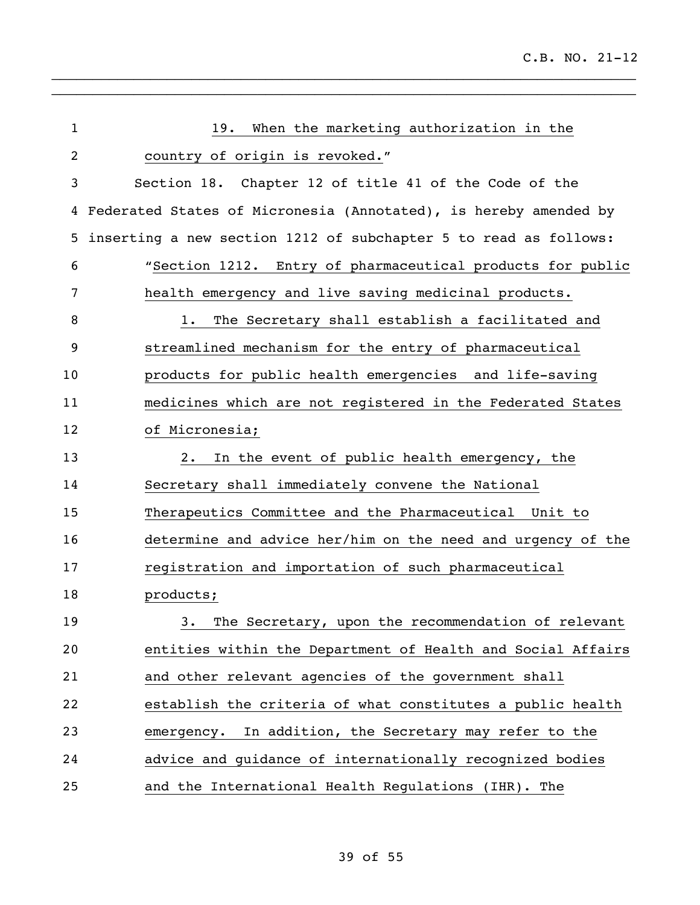| $\mathbf 1$ | When the marketing authorization in the<br>19.                   |
|-------------|------------------------------------------------------------------|
| 2           | country of origin is revoked."                                   |
| 3           | Section 18. Chapter 12 of title 41 of the Code of the            |
| 4           | Federated States of Micronesia (Annotated), is hereby amended by |
| 5           | inserting a new section 1212 of subchapter 5 to read as follows: |
| 6           | "Section 1212. Entry of pharmaceutical products for public       |
| 7           | health emergency and live saving medicinal products.             |
| 8           | The Secretary shall establish a facilitated and<br>$1$ .         |
| 9           | streamlined mechanism for the entry of pharmaceutical            |
| 10          | products for public health emergencies and life-saving           |
| 11          | medicines which are not registered in the Federated States       |
| 12          | of Micronesia;                                                   |
| 13          | In the event of public health emergency, the<br>2.               |
| 14          | Secretary shall immediately convene the National                 |
| 15          | Therapeutics Committee and the Pharmaceutical Unit to            |
| 16          | determine and advice her/him on the need and urgency of the      |
| 17          | registration and importation of such pharmaceutical              |
| 18          | products;                                                        |
| 19          | The Secretary, upon the recommendation of relevant<br>3.         |
| 20          | entities within the Department of Health and Social Affairs      |
| 21          | and other relevant agencies of the government shall              |
| 22          | establish the criteria of what constitutes a public health       |
| 23          | emergency. In addition, the Secretary may refer to the           |
| 24          | advice and guidance of internationally recognized bodies         |
| 25          | and the International Health Regulations (IHR). The              |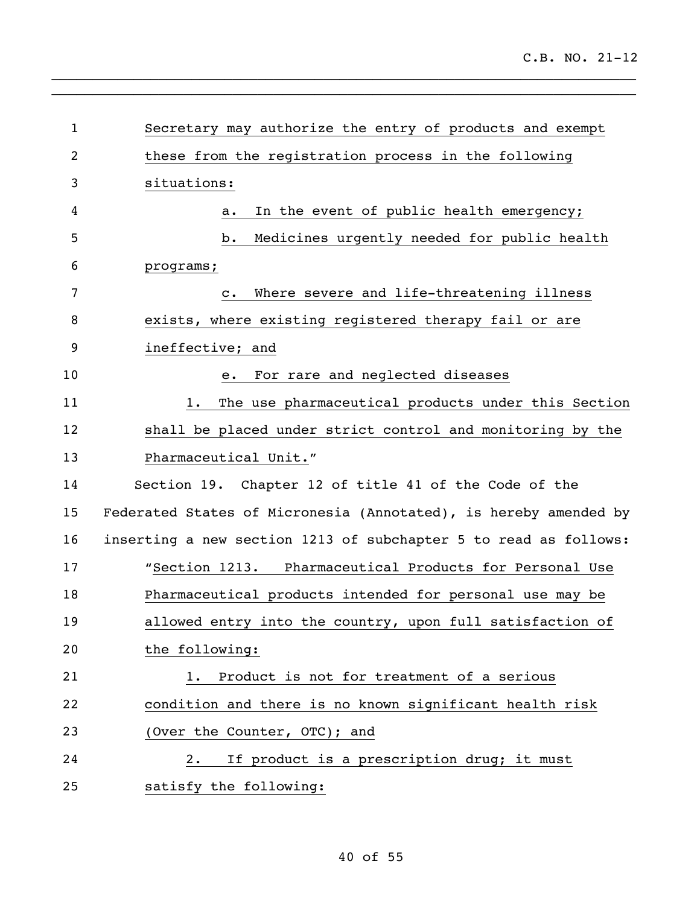| $\mathbf{1}$    | Secretary may authorize the entry of products and exempt         |
|-----------------|------------------------------------------------------------------|
| $\overline{2}$  | these from the registration process in the following             |
| 3               | situations:                                                      |
| 4               | In the event of public health emergency;<br>a.                   |
| 5               | Medicines urgently needed for public health<br>b.                |
| 6               | programs;                                                        |
| 7               | Where severe and life-threatening illness<br>$\mathbf{c}$ .      |
| 8               | exists, where existing registered therapy fail or are            |
| 9               | ineffective; and                                                 |
| 10              | For rare and neglected diseases<br>е.                            |
| 11              | The use pharmaceutical products under this Section<br>1.         |
| 12              | shall be placed under strict control and monitoring by the       |
| 13              | Pharmaceutical Unit."                                            |
| 14              | Section 19. Chapter 12 of title 41 of the Code of the            |
| 15 <sub>2</sub> | Federated States of Micronesia (Annotated), is hereby amended by |
| 16              | inserting a new section 1213 of subchapter 5 to read as follows: |
| 17              | "Section 1213. Pharmaceutical Products for Personal Use          |
| 18              | Pharmaceutical products intended for personal use may be         |
| 19              | allowed entry into the country, upon full satisfaction of        |
| 20              | the following:                                                   |
| 21              | Product is not for treatment of a serious<br>1.                  |
| 22              | condition and there is no known significant health risk          |
| 23              | (Over the Counter, OTC); and                                     |
| 24              | If product is a prescription drug; it must<br>$2 \cdot$          |
| 25              | satisfy the following:                                           |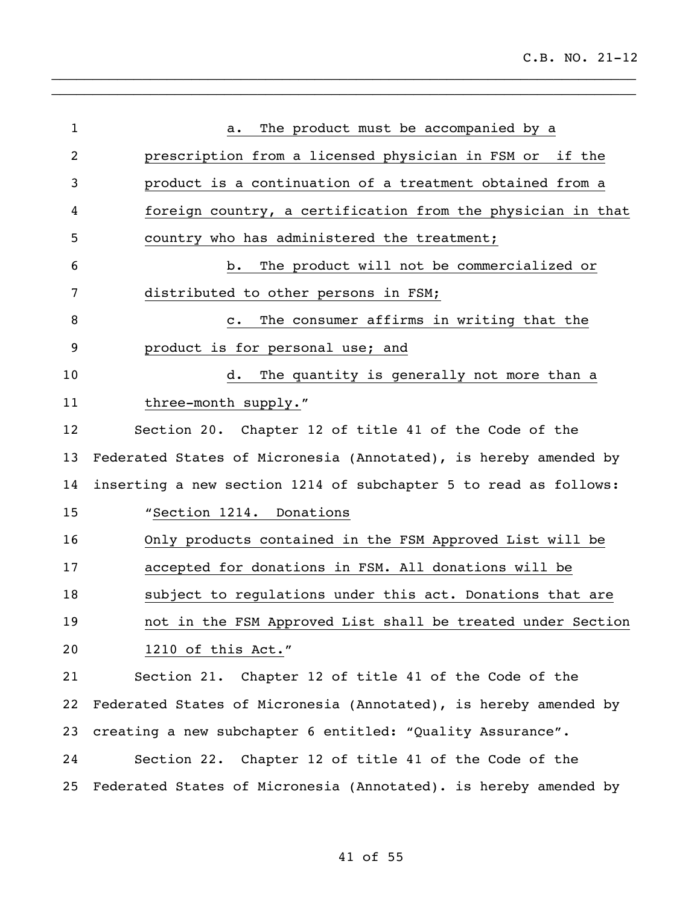| $\mathbf 1$    | The product must be accompanied by a<br>а.                       |
|----------------|------------------------------------------------------------------|
| $\overline{2}$ | prescription from a licensed physician in FSM or if the          |
| 3              | product is a continuation of a treatment obtained from a         |
| 4              | foreign country, a certification from the physician in that      |
| 5              | country who has administered the treatment;                      |
| 6              | The product will not be commercialized or<br>b.                  |
| 7              | distributed to other persons in FSM;                             |
| 8              | The consumer affirms in writing that the<br>$\mathbf{c}$ .       |
| 9              | product is for personal use; and                                 |
| 10             | The quantity is generally not more than a<br>d.                  |
| 11             | three-month supply."                                             |
| 12             | Section 20. Chapter 12 of title 41 of the Code of the            |
| 13             | Federated States of Micronesia (Annotated), is hereby amended by |
| 14             | inserting a new section 1214 of subchapter 5 to read as follows: |
| 15             | "Section 1214. Donations                                         |
| 16             | Only products contained in the FSM Approved List will be         |
| 17             | accepted for donations in FSM. All donations will be             |
| 18             | subject to regulations under this act. Donations that are        |
| 19             | not in the FSM Approved List shall be treated under Section      |
| 20             | 1210 of this Act."                                               |
| 21             | Section 21. Chapter 12 of title 41 of the Code of the            |
| 22             | Federated States of Micronesia (Annotated), is hereby amended by |
| 23             | creating a new subchapter 6 entitled: "Quality Assurance".       |
| 24             | Section 22. Chapter 12 of title 41 of the Code of the            |
| 25             | Federated States of Micronesia (Annotated). is hereby amended by |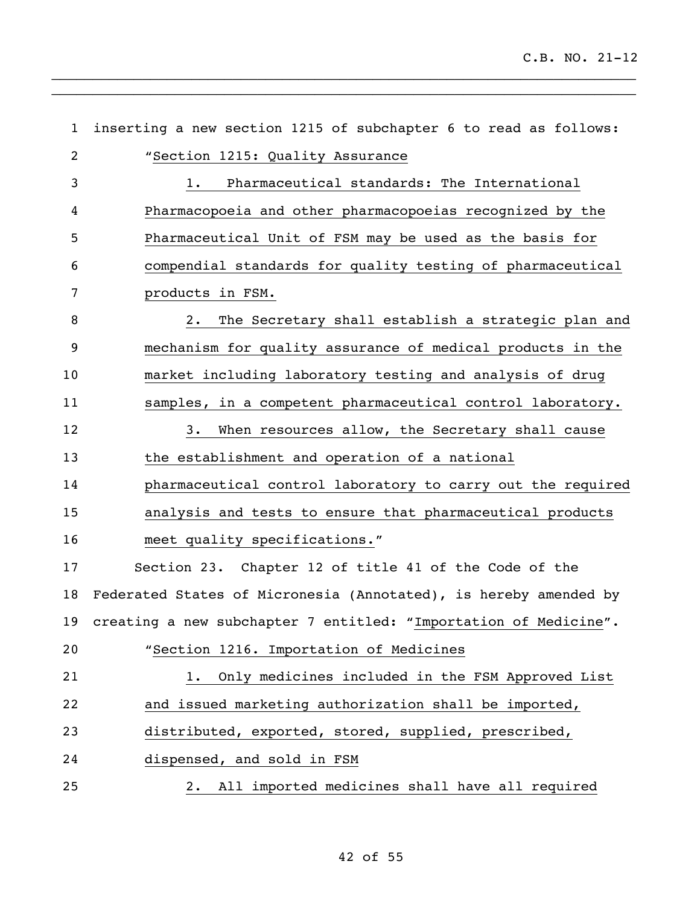| $\mathbf{1}$   | inserting a new section 1215 of subchapter 6 to read as follows:    |
|----------------|---------------------------------------------------------------------|
| $\overline{2}$ | "Section 1215: Quality Assurance                                    |
| 3              | Pharmaceutical standards: The International<br>1.                   |
| 4              | Pharmacopoeia and other pharmacopoeias recognized by the            |
| 5              | Pharmaceutical Unit of FSM may be used as the basis for             |
| 6              | compendial standards for quality testing of pharmaceutical          |
| 7              | products in FSM.                                                    |
| 8              | The Secretary shall establish a strategic plan and<br>2.            |
| 9              | mechanism for quality assurance of medical products in the          |
| 10             | market including laboratory testing and analysis of drug            |
| 11             | samples, in a competent pharmaceutical control laboratory.          |
| 12             | When resources allow, the Secretary shall cause<br>3.               |
| 13             | the establishment and operation of a national                       |
| 14             | pharmaceutical control laboratory to carry out the required         |
| 15             | analysis and tests to ensure that pharmaceutical products           |
| 16             | meet quality specifications."                                       |
| 17             | Section 23. Chapter 12 of title 41 of the Code of the               |
| 18             | Federated States of Micronesia (Annotated), is hereby amended by    |
|                | 19 creating a new subchapter 7 entitled: "Importation of Medicine". |
| 20             | "Section 1216. Importation of Medicines                             |
| 21             | Only medicines included in the FSM Approved List<br>1.              |
| 22             | and issued marketing authorization shall be imported,               |
| 23             | distributed, exported, stored, supplied, prescribed,                |
| 24             | dispensed, and sold in FSM                                          |
| 25             | 2. All imported medicines shall have all required                   |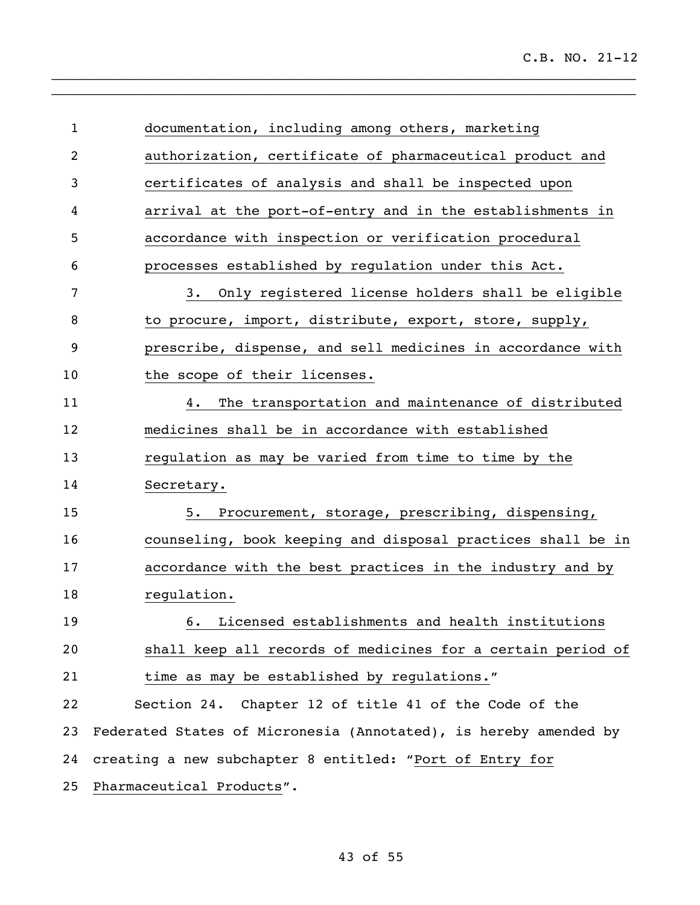| $\mathbf{1}$   | documentation, including among others, marketing                 |
|----------------|------------------------------------------------------------------|
| $\overline{2}$ | authorization, certificate of pharmaceutical product and         |
| 3              | certificates of analysis and shall be inspected upon             |
| 4              | arrival at the port-of-entry and in the establishments in        |
| 5              | accordance with inspection or verification procedural            |
| 6              | processes established by regulation under this Act.              |
| 7              | Only registered license holders shall be eligible<br>3.          |
| 8              | to procure, import, distribute, export, store, supply,           |
| 9              | prescribe, dispense, and sell medicines in accordance with       |
| 10             | the scope of their licenses.                                     |
| 11             | The transportation and maintenance of distributed<br>4.          |
| 12             | medicines shall be in accordance with established                |
| 13             | regulation as may be varied from time to time by the             |
| 14             | Secretary.                                                       |
| 15             | Procurement, storage, prescribing, dispensing,<br>5.             |
| 16             | counseling, book keeping and disposal practices shall be in      |
| 17             | accordance with the best practices in the industry and by        |
| 18             | regulation.                                                      |
| 19             | Licensed establishments and health institutions<br>6.            |
| 20             | shall keep all records of medicines for a certain period of      |
| 21             | time as may be established by regulations."                      |
| 22             | Section 24. Chapter 12 of title 41 of the Code of the            |
| 23             | Federated States of Micronesia (Annotated), is hereby amended by |
| 24             | creating a new subchapter 8 entitled: "Port of Entry for         |
| 25             | Pharmaceutical Products".                                        |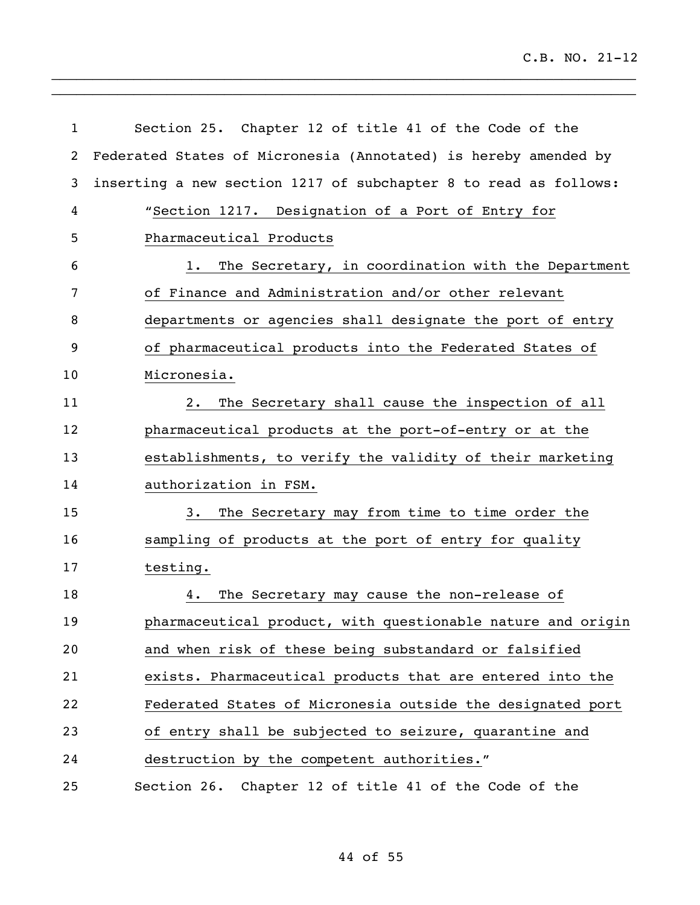| 1  | Section 25. Chapter 12 of title 41 of the Code of the            |
|----|------------------------------------------------------------------|
| 2  | Federated States of Micronesia (Annotated) is hereby amended by  |
| 3  | inserting a new section 1217 of subchapter 8 to read as follows: |
| 4  | "Section 1217. Designation of a Port of Entry for                |
| 5  | Pharmaceutical Products                                          |
| 6  | The Secretary, in coordination with the Department<br>1.         |
| 7  | of Finance and Administration and/or other relevant              |
| 8  | departments or agencies shall designate the port of entry        |
| 9  | of pharmaceutical products into the Federated States of          |
| 10 | Micronesia.                                                      |
| 11 | The Secretary shall cause the inspection of all<br>2.            |
| 12 | pharmaceutical products at the port-of-entry or at the           |
| 13 | establishments, to verify the validity of their marketing        |
| 14 | authorization in FSM.                                            |
| 15 | The Secretary may from time to time order the<br>3.              |
| 16 | sampling of products at the port of entry for quality            |
| 17 | testing.                                                         |
| 18 | The Secretary may cause the non-release of<br>4.                 |
| 19 | pharmaceutical product, with questionable nature and origin      |
| 20 | and when risk of these being substandard or falsified            |
| 21 | exists. Pharmaceutical products that are entered into the        |
| 22 | Federated States of Micronesia outside the designated port       |
| 23 | of entry shall be subjected to seizure, quarantine and           |
| 24 | destruction by the competent authorities."                       |
| 25 | Section 26. Chapter 12 of title 41 of the Code of the            |

of 55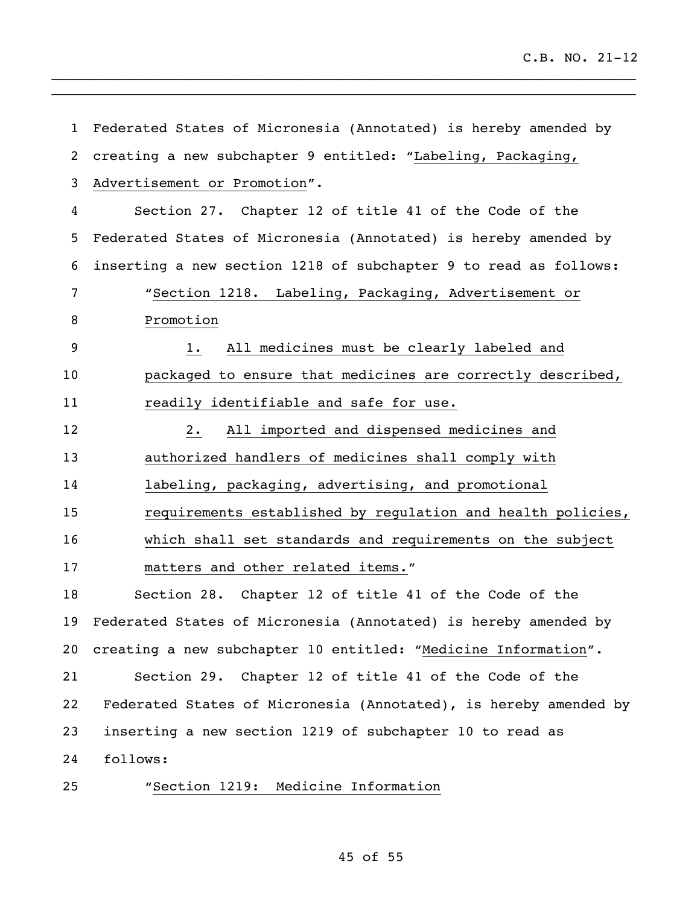| $\mathbf{1}$   | Federated States of Micronesia (Annotated) is hereby amended by  |
|----------------|------------------------------------------------------------------|
| $\overline{2}$ | creating a new subchapter 9 entitled: "Labeling, Packaging,      |
| 3              | Advertisement or Promotion".                                     |
| 4              | Section 27. Chapter 12 of title 41 of the Code of the            |
| 5              | Federated States of Micronesia (Annotated) is hereby amended by  |
| 6              | inserting a new section 1218 of subchapter 9 to read as follows: |
| 7              | "Section 1218. Labeling, Packaging, Advertisement or             |
| 8              | Promotion                                                        |
| 9              | All medicines must be clearly labeled and<br>$1$ .               |
| 10             | packaged to ensure that medicines are correctly described,       |
| 11             | readily identifiable and safe for use.                           |
| 12             | All imported and dispensed medicines and<br>2.                   |
| 13             | authorized handlers of medicines shall comply with               |
| 14             | labeling, packaging, advertising, and promotional                |
| 15             | requirements established by regulation and health policies,      |
| 16             | which shall set standards and requirements on the subject        |
| 17             | matters and other related items."                                |
| 18             | Section 28. Chapter 12 of title 41 of the Code of the            |
| 19             | Federated States of Micronesia (Annotated) is hereby amended by  |
| 20             | creating a new subchapter 10 entitled: "Medicine Information".   |
| 21             | Section 29. Chapter 12 of title 41 of the Code of the            |
| 22             | Federated States of Micronesia (Annotated), is hereby amended by |
| 23             | inserting a new section 1219 of subchapter 10 to read as         |
| 24             | follows:                                                         |
| 25             | "Section 1219: Medicine Information                              |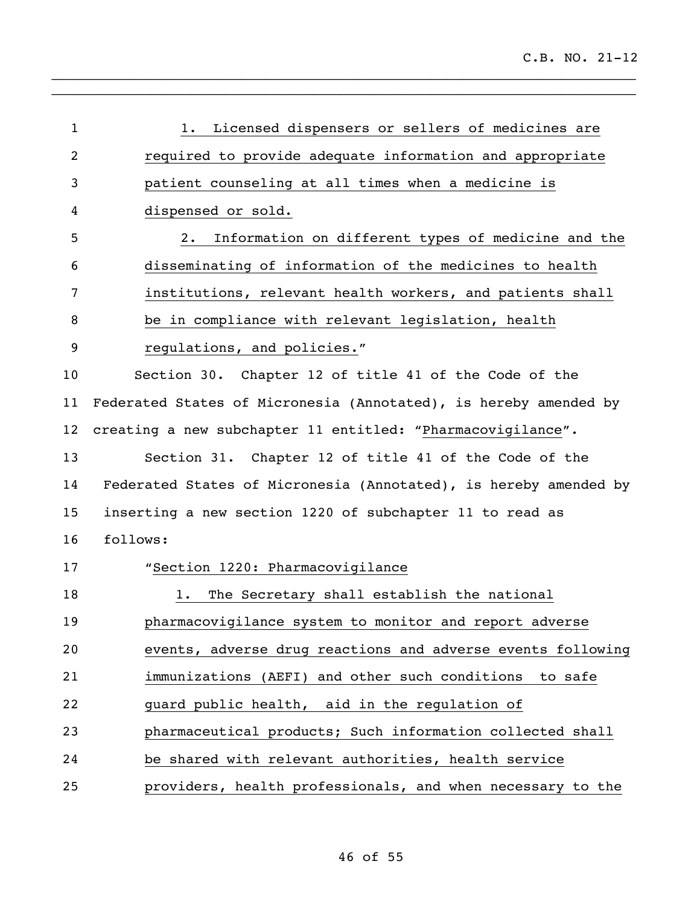| 1  | Licensed dispensers or sellers of medicines are<br>1.            |
|----|------------------------------------------------------------------|
| 2  | required to provide adequate information and appropriate         |
| 3  | patient counseling at all times when a medicine is               |
| 4  | dispensed or sold.                                               |
| 5  | Information on different types of medicine and the<br>2.         |
| 6  | disseminating of information of the medicines to health          |
| 7  | institutions, relevant health workers, and patients shall        |
| 8  | be in compliance with relevant legislation, health               |
| 9  | regulations, and policies."                                      |
| 10 | Section 30. Chapter 12 of title 41 of the Code of the            |
| 11 | Federated States of Micronesia (Annotated), is hereby amended by |
| 12 | creating a new subchapter 11 entitled: "Pharmacovigilance".      |
| 13 | Section 31. Chapter 12 of title 41 of the Code of the            |
| 14 | Federated States of Micronesia (Annotated), is hereby amended by |
| 15 | inserting a new section 1220 of subchapter 11 to read as         |
| 16 | follows:                                                         |
| 17 | "Section 1220: Pharmacovigilance                                 |
| 18 | The Secretary shall establish the national<br>$1$ .              |
| 19 | pharmacovigilance system to monitor and report adverse           |
| 20 | events, adverse drug reactions and adverse events following      |
| 21 | immunizations (AEFI) and other such conditions to safe           |
| 22 | guard public health, aid in the regulation of                    |
| 23 | pharmaceutical products; Such information collected shall        |
| 24 | be shared with relevant authorities, health service              |
| 25 | providers, health professionals, and when necessary to the       |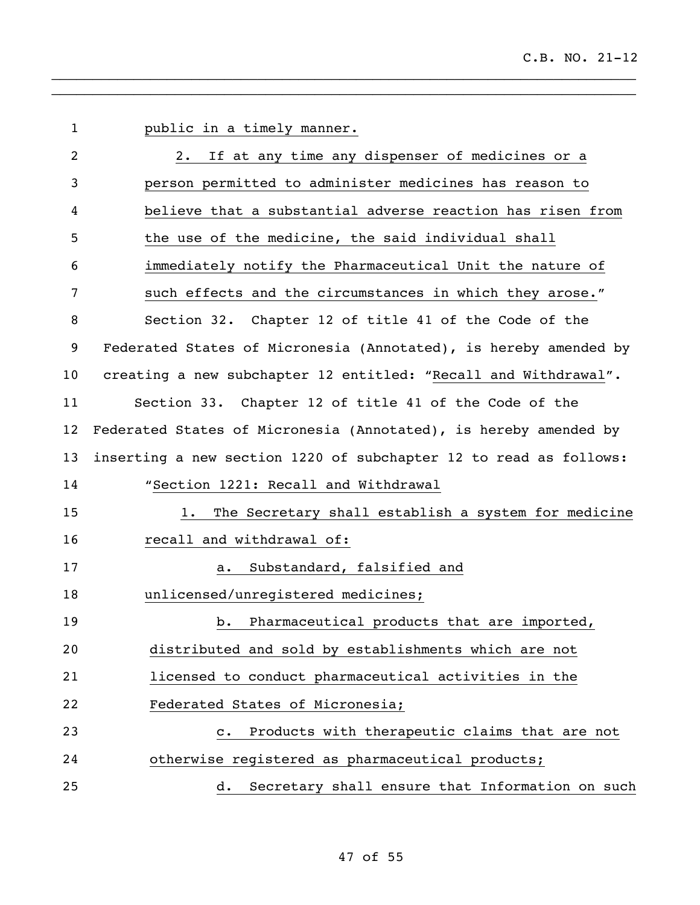public in a timely manner. 2. If at any time any dispenser of medicines or a person permitted to administer medicines has reason to believe that a substantial adverse reaction has risen from the use of the medicine, the said individual shall immediately notify the Pharmaceutical Unit the nature of such effects and the circumstances in which they arose." Section 32. Chapter 12 of title 41 of the Code of the Federated States of Micronesia (Annotated), is hereby amended by creating a new subchapter 12 entitled: "Recall and Withdrawal". Section 33. Chapter 12 of title 41 of the Code of the Federated States of Micronesia (Annotated), is hereby amended by inserting a new section 1220 of subchapter 12 to read as follows: "Section 1221: Recall and Withdrawal 1. The Secretary shall establish a system for medicine 16 recall and withdrawal of: a. Substandard, falsified and unlicensed/unregistered medicines; 19 b. Pharmaceutical products that are imported, distributed and sold by establishments which are not licensed to conduct pharmaceutical activities in the Federated States of Micronesia; c. Products with therapeutic claims that are not otherwise registered as pharmaceutical products; d. Secretary shall ensure that Information on such

 $\_$  $\_$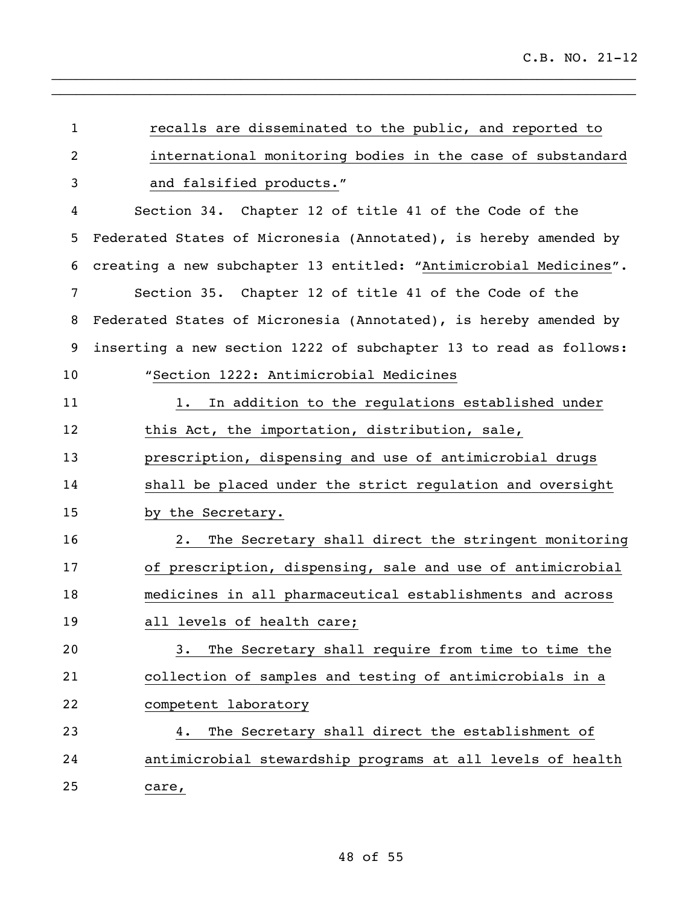| $\mathbf{1}$ | recalls are disseminated to the public, and reported to           |
|--------------|-------------------------------------------------------------------|
| 2            | international monitoring bodies in the case of substandard        |
| 3            | and falsified products."                                          |
| 4            | Section 34. Chapter 12 of title 41 of the Code of the             |
| 5            | Federated States of Micronesia (Annotated), is hereby amended by  |
| 6            | creating a new subchapter 13 entitled: "Antimicrobial Medicines". |
| 7            | Section 35. Chapter 12 of title 41 of the Code of the             |
| 8            | Federated States of Micronesia (Annotated), is hereby amended by  |
| 9            | inserting a new section 1222 of subchapter 13 to read as follows: |
| 10           | "Section 1222: Antimicrobial Medicines                            |
| 11           | In addition to the regulations established under<br>1.            |
| 12           | this Act, the importation, distribution, sale,                    |
| 13           | prescription, dispensing and use of antimicrobial drugs           |
| 14           | shall be placed under the strict regulation and oversight         |
| 15           | by the Secretary.                                                 |
| 16           | The Secretary shall direct the stringent monitoring<br>2.         |
| 17           | of prescription, dispensing, sale and use of antimicrobial        |
| 18           | medicines in all pharmaceutical establishments and across         |
| 19           | all levels of health care;                                        |
| 20           | The Secretary shall require from time to time the<br>3.           |
| 21           | collection of samples and testing of antimicrobials in a          |
| 22           | competent laboratory                                              |
| 23           | The Secretary shall direct the establishment of<br>4.             |
| 24           | antimicrobial stewardship programs at all levels of health        |
| 25           | care,                                                             |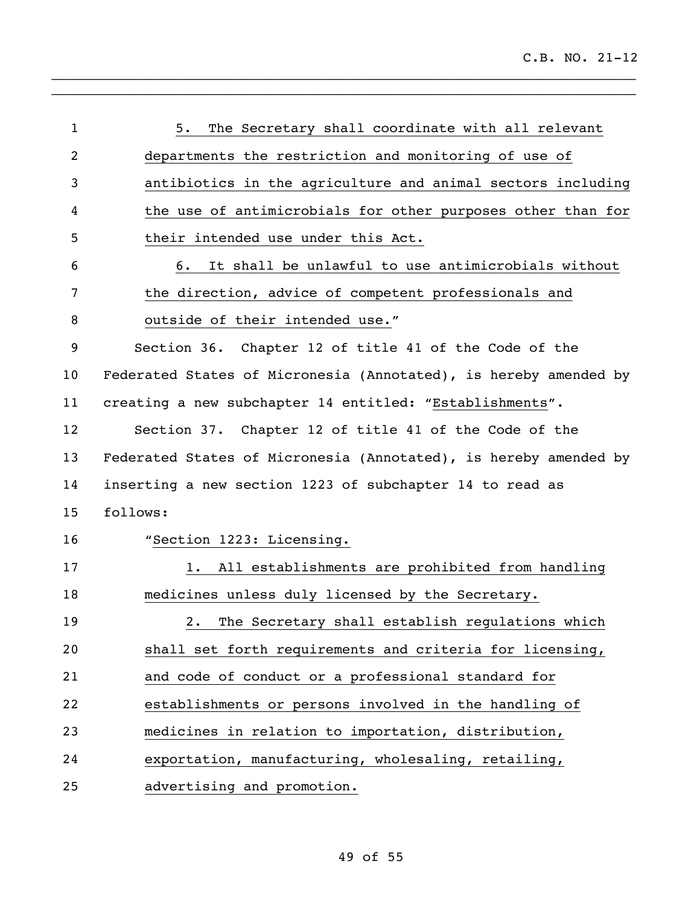| $\mathbf{1}$   | The Secretary shall coordinate with all relevant<br>5.           |
|----------------|------------------------------------------------------------------|
| $\overline{2}$ | departments the restriction and monitoring of use of             |
| 3              | antibiotics in the agriculture and animal sectors including      |
| 4              | the use of antimicrobials for other purposes other than for      |
| 5              | their intended use under this Act.                               |
| 6              | It shall be unlawful to use antimicrobials without<br>6.         |
| 7              | the direction, advice of competent professionals and             |
| 8              | outside of their intended use."                                  |
| 9              | Section 36. Chapter 12 of title 41 of the Code of the            |
| 10             | Federated States of Micronesia (Annotated), is hereby amended by |
| 11             | creating a new subchapter 14 entitled: "Establishments".         |
| 12             | Section 37. Chapter 12 of title 41 of the Code of the            |
| 13             | Federated States of Micronesia (Annotated), is hereby amended by |
| 14             | inserting a new section 1223 of subchapter 14 to read as         |
| 15             | follows:                                                         |
| 16             | "Section 1223: Licensing.                                        |
| 17             | All establishments are prohibited from handling<br>1.            |
| 18             | medicines unless duly licensed by the Secretary.                 |
| 19             | The Secretary shall establish regulations which<br>2.1           |
| 20             | shall set forth requirements and criteria for licensing,         |
| 21             | and code of conduct or a professional standard for               |
| 22             | establishments or persons involved in the handling of            |
| 23             | medicines in relation to importation, distribution,              |
| 24             | exportation, manufacturing, wholesaling, retailing,              |
| 25             | advertising and promotion.                                       |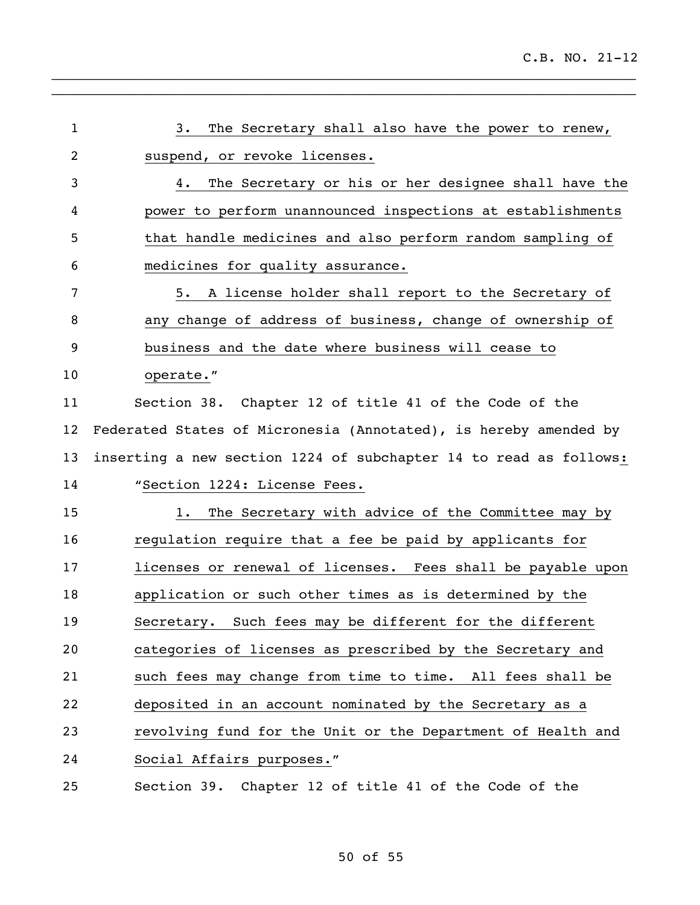| $\mathbf{1}$   | The Secretary shall also have the power to renew,<br>3.           |
|----------------|-------------------------------------------------------------------|
| $\overline{2}$ | suspend, or revoke licenses.                                      |
| 3              | The Secretary or his or her designee shall have the<br>4.         |
| 4              | power to perform unannounced inspections at establishments        |
| 5              | that handle medicines and also perform random sampling of         |
| 6              | medicines for quality assurance.                                  |
| 7              | A license holder shall report to the Secretary of<br>5.           |
| 8              | any change of address of business, change of ownership of         |
| 9              | business and the date where business will cease to                |
| 10             | operate."                                                         |
| 11             | Section 38. Chapter 12 of title 41 of the Code of the             |
| 12             | Federated States of Micronesia (Annotated), is hereby amended by  |
| 13             | inserting a new section 1224 of subchapter 14 to read as follows: |
| 14             | "Section 1224: License Fees.                                      |
| 15             | The Secretary with advice of the Committee may by<br>1.           |
| 16             | regulation require that a fee be paid by applicants for           |
| 17             | licenses or renewal of licenses. Fees shall be payable upon       |
| 18             | application or such other times as is determined by the           |
| 19             | Secretary. Such fees may be different for the different           |
| 20             | categories of licenses as prescribed by the Secretary and         |
| 21             | such fees may change from time to time. All fees shall be         |
| 22             | deposited in an account nominated by the Secretary as a           |
| 23             | revolving fund for the Unit or the Department of Health and       |
| 24             | Social Affairs purposes."                                         |
| 25             | Section 39. Chapter 12 of title 41 of the Code of the             |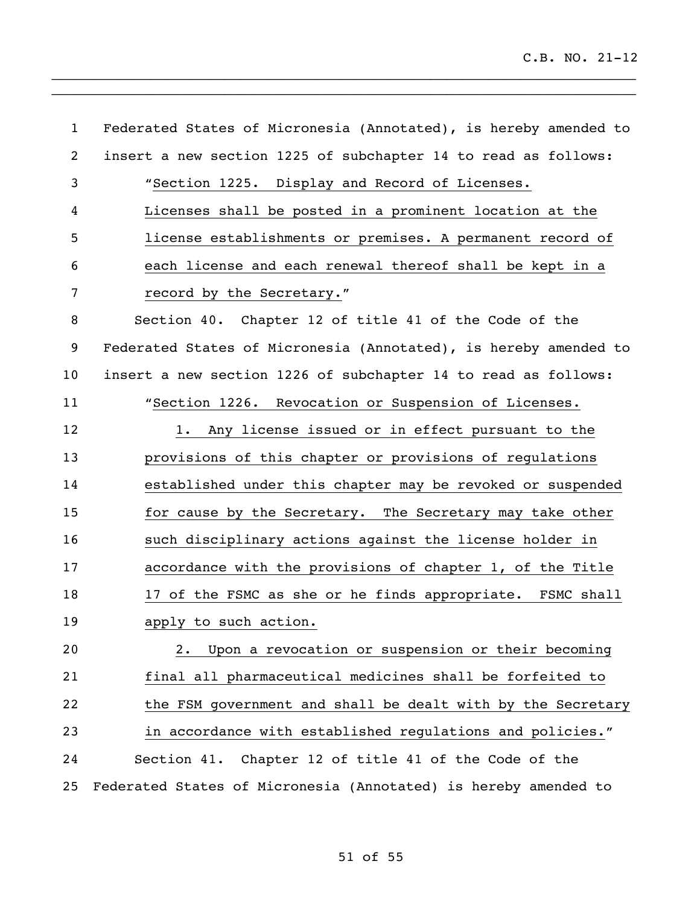Federated States of Micronesia (Annotated), is hereby amended to insert a new section 1225 of subchapter 14 to read as follows: "Section 1225. Display and Record of Licenses. Licenses shall be posted in a prominent location at the license establishments or premises. A permanent record of each license and each renewal thereof shall be kept in a record by the Secretary." Section 40. Chapter 12 of title 41 of the Code of the Federated States of Micronesia (Annotated), is hereby amended to insert a new section 1226 of subchapter 14 to read as follows: "Section 1226. Revocation or Suspension of Licenses. 12 1. Any license issued or in effect pursuant to the provisions of this chapter or provisions of regulations established under this chapter may be revoked or suspended 15 for cause by the Secretary. The Secretary may take other such disciplinary actions against the license holder in accordance with the provisions of chapter 1, of the Title 18 17 of the FSMC as she or he finds appropriate. FSMC shall apply to such action. 2. Upon a revocation or suspension or their becoming final all pharmaceutical medicines shall be forfeited to the FSM government and shall be dealt with by the Secretary in accordance with established regulations and policies." Section 41. Chapter 12 of title 41 of the Code of the Federated States of Micronesia (Annotated) is hereby amended to

 $\_$  $\_$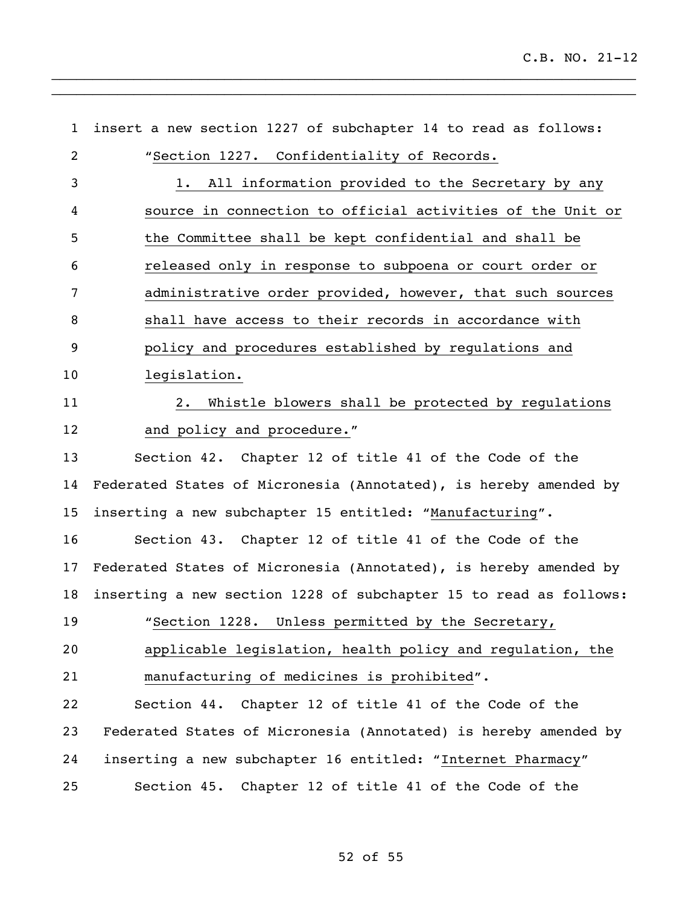| $\mathbf{1}$   | insert a new section 1227 of subchapter 14 to read as follows:    |
|----------------|-------------------------------------------------------------------|
| $\overline{2}$ | "Section 1227. Confidentiality of Records.                        |
| 3              | All information provided to the Secretary by any<br>1.            |
| 4              | source in connection to official activities of the Unit or        |
| 5              | the Committee shall be kept confidential and shall be             |
| 6              | released only in response to subpoena or court order or           |
| 7              | administrative order provided, however, that such sources         |
| 8              | shall have access to their records in accordance with             |
| 9              | policy and procedures established by regulations and              |
| 10             | legislation.                                                      |
| 11             | Whistle blowers shall be protected by regulations<br>$2 \cdot$    |
| 12             | and policy and procedure."                                        |
| 13             | Section 42. Chapter 12 of title 41 of the Code of the             |
| 14             | Federated States of Micronesia (Annotated), is hereby amended by  |
| 15             | inserting a new subchapter 15 entitled: "Manufacturing".          |
| 16             | Section 43. Chapter 12 of title 41 of the Code of the             |
| 17             | Federated States of Micronesia (Annotated), is hereby amended by  |
| 18             | inserting a new section 1228 of subchapter 15 to read as follows: |
| 19             | "Section 1228. Unless permitted by the Secretary,                 |
| 20             | applicable legislation, health policy and regulation, the         |
| 21             | manufacturing of medicines is prohibited".                        |
| 22             | Section 44. Chapter 12 of title 41 of the Code of the             |
| 23             | Federated States of Micronesia (Annotated) is hereby amended by   |
| 24             | inserting a new subchapter 16 entitled: "Internet Pharmacy"       |
| 25             | Section 45. Chapter 12 of title 41 of the Code of the             |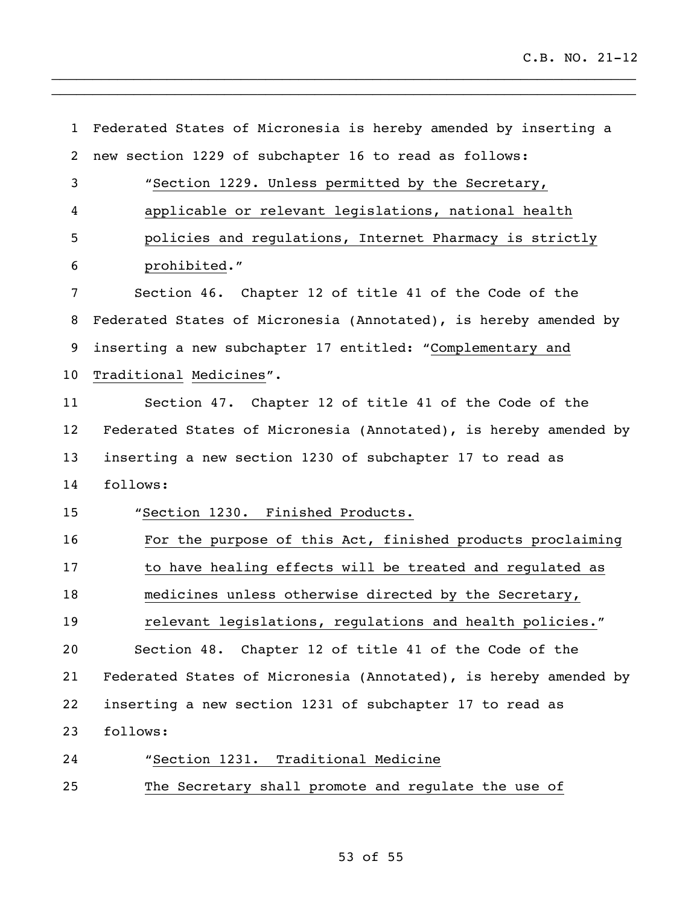Federated States of Micronesia is hereby amended by inserting a new section 1229 of subchapter 16 to read as follows: "Section 1229. Unless permitted by the Secretary, applicable or relevant legislations, national health policies and regulations, Internet Pharmacy is strictly prohibited." Section 46. Chapter 12 of title 41 of the Code of the Federated States of Micronesia (Annotated), is hereby amended by inserting a new subchapter 17 entitled: "Complementary and Traditional Medicines". Section 47. Chapter 12 of title 41 of the Code of the Federated States of Micronesia (Annotated), is hereby amended by inserting a new section 1230 of subchapter 17 to read as follows: "Section 1230. Finished Products. For the purpose of this Act, finished products proclaiming to have healing effects will be treated and regulated as medicines unless otherwise directed by the Secretary, relevant legislations, regulations and health policies." Section 48. Chapter 12 of title 41 of the Code of the Federated States of Micronesia (Annotated), is hereby amended by inserting a new section 1231 of subchapter 17 to read as follows: "Section 1231. Traditional Medicine The Secretary shall promote and regulate the use of

 $\_$  $\_$ 

## of 55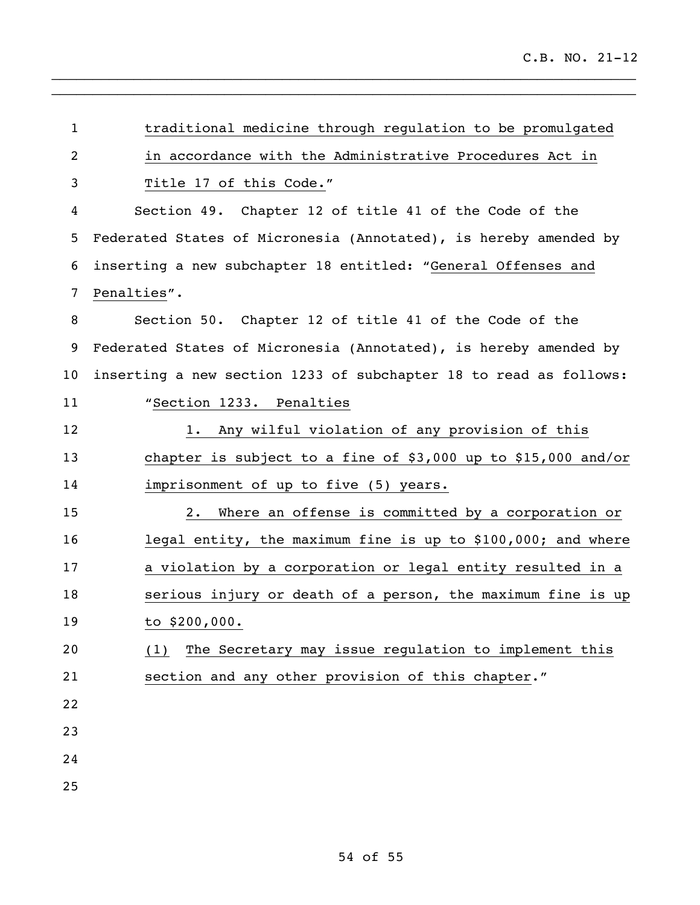| $\mathbf{1}$   | traditional medicine through regulation to be promulgated         |
|----------------|-------------------------------------------------------------------|
| $\overline{c}$ | in accordance with the Administrative Procedures Act in           |
| 3              | Title 17 of this Code."                                           |
| 4              | Section 49. Chapter 12 of title 41 of the Code of the             |
| 5              | Federated States of Micronesia (Annotated), is hereby amended by  |
| 6              | inserting a new subchapter 18 entitled: "General Offenses and     |
| 7              | Penalties".                                                       |
| 8              | Section 50. Chapter 12 of title 41 of the Code of the             |
| 9              | Federated States of Micronesia (Annotated), is hereby amended by  |
| 10             | inserting a new section 1233 of subchapter 18 to read as follows: |
| 11             | "Section 1233. Penalties                                          |
| 12             | Any wilful violation of any provision of this<br>1.               |
| 13             | chapter is subject to a fine of \$3,000 up to \$15,000 and/or     |
| 14             | imprisonment of up to five (5) years.                             |
| 15             | Where an offense is committed by a corporation or<br>2.           |
| 16             | legal entity, the maximum fine is up to \$100,000; and where      |
| 17             | a violation by a corporation or legal entity resulted in a        |
| 18             | serious injury or death of a person, the maximum fine is up       |
| 19             | to \$200,000.                                                     |
| 20             | The Secretary may issue regulation to implement this<br>(1)       |
| 21             | section and any other provision of this chapter."                 |
| 22             |                                                                   |
| 23             |                                                                   |
| 24             |                                                                   |
| 25             |                                                                   |